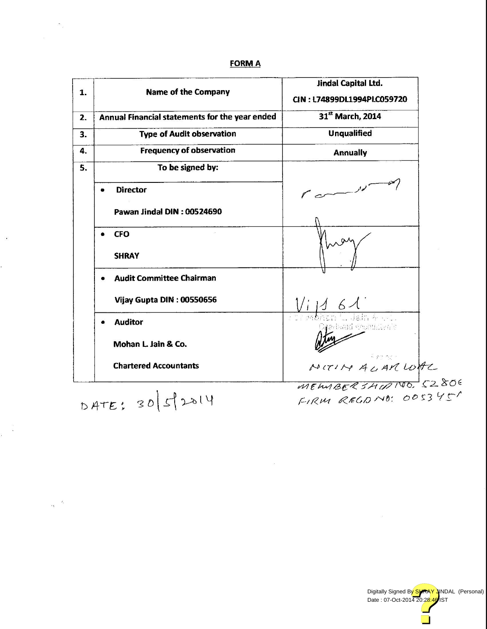|   | ĸΝ |   |  |
|---|----|---|--|
| И |    | н |  |

| 1. | <b>Name of the Company</b>                     | Jindal Capital Ltd.<br>CIN: L74899DL1994PLC059720 |
|----|------------------------------------------------|---------------------------------------------------|
| 2. | Annual Financial statements for the year ended | 31st March, 2014                                  |
| 3. | <b>Type of Audit observation</b>               | <b>Unqualified</b>                                |
| 4. | <b>Frequency of observation</b>                | <b>Annually</b>                                   |
| 5. | To be signed by:                               |                                                   |
|    | <b>Director</b>                                | $\sim$                                            |
|    | Pawan Jindal DIN: 00524690                     |                                                   |
|    | <b>CFO</b>                                     |                                                   |
|    | <b>SHRAY</b>                                   |                                                   |
|    | <b>Audit Committee Chairman</b>                |                                                   |
|    | Vijay Gupta DIN: 00550656                      |                                                   |
|    | <b>Auditor</b>                                 | ned krootster ben                                 |
|    | Mohan L. Jain & Co.                            |                                                   |
|    | <b>Chartered Accountants</b>                   | NOTIN ALARWAL<br>MEMBERSHIPTO, 5280               |
|    |                                                |                                                   |

 $\sim 10$ 

DATE:  $3052014$ 

 $\sigma_{\rm g}$ 

 $\bar{z}$ 

 $\mathcal{L}_{\mathcal{A}}$ 

 $\frac{1}{2\sqrt{2}}$  .

56 FIRM REGONO: 0053451

 $\mathcal{O}(\mathcal{O}_\mathcal{O})$  . In the set of  $\mathcal{O}(\mathcal{O}_\mathcal{O})$ 

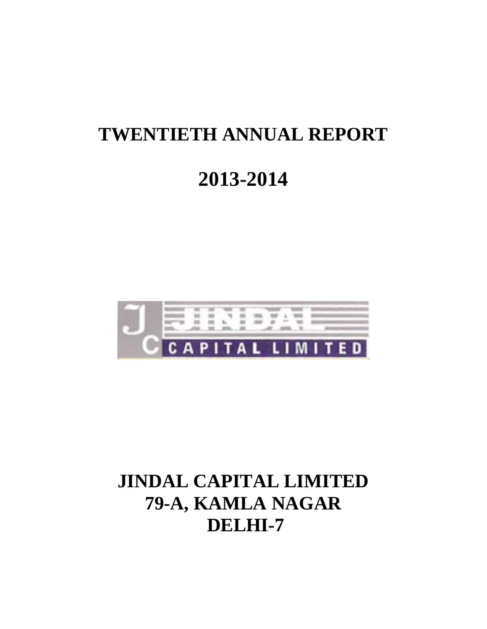# **TWENTIETH ANNUAL REPORT**

# **2013-2014**



# **JINDAL CAPITAL LIMITED 79-A, KAMLA NAGAR DELHI-7**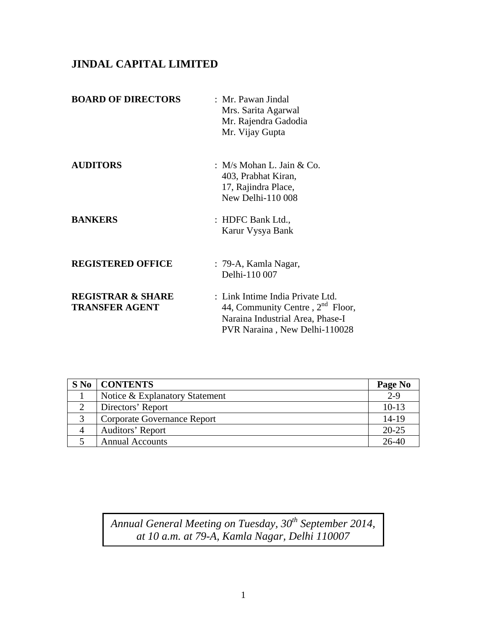| <b>BOARD OF DIRECTORS</b>                             | : Mr. Pawan Jindal<br>Mrs. Sarita Agarwal<br>Mr. Rajendra Gadodia<br>Mr. Vijay Gupta                                                                  |
|-------------------------------------------------------|-------------------------------------------------------------------------------------------------------------------------------------------------------|
| <b>AUDITORS</b>                                       | : M/s Mohan L. Jain & Co.<br>403, Prabhat Kiran,<br>17, Rajindra Place,<br>New Delhi-110 008                                                          |
| <b>BANKERS</b>                                        | : HDFC Bank Ltd.,<br>Karur Vysya Bank                                                                                                                 |
| <b>REGISTERED OFFICE</b>                              | : 79-A, Kamla Nagar,<br>Delhi-110 007                                                                                                                 |
| <b>REGISTRAR &amp; SHARE</b><br><b>TRANSFER AGENT</b> | : Link Intime India Private Ltd.<br>44, Community Centre, 2 <sup>nd</sup> Floor,<br>Naraina Industrial Area, Phase-I<br>PVR Naraina, New Delhi-110028 |

| $S$ No | <b>CONTENTS</b>                | Page No   |
|--------|--------------------------------|-----------|
|        | Notice & Explanatory Statement | $2 - 9$   |
|        | Directors' Report              | $10-13$   |
|        | Corporate Governance Report    | $14-19$   |
|        | Auditors' Report               | $20 - 25$ |
|        | <b>Annual Accounts</b>         | $26-40$   |

*Annual General Meeting on Tuesday, 30th September 2014, at 10 a.m. at 79-A, Kamla Nagar, Delhi 110007*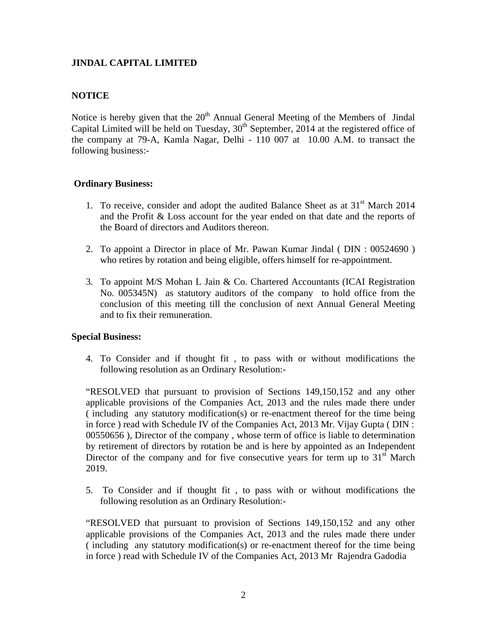# **NOTICE**

Notice is hereby given that the  $20<sup>th</sup>$  Annual General Meeting of the Members of Jindal Capital Limited will be held on Tuesday,  $30<sup>th</sup>$  September, 2014 at the registered office of the company at 79-A, Kamla Nagar, Delhi - 110 007 at 10.00 A.M. to transact the following business:-

# **Ordinary Business:**

- 1. To receive, consider and adopt the audited Balance Sheet as at  $31<sup>st</sup>$  March 2014 and the Profit & Loss account for the year ended on that date and the reports of the Board of directors and Auditors thereon.
- 2. To appoint a Director in place of Mr. Pawan Kumar Jindal ( DIN : 00524690 ) who retires by rotation and being eligible, offers himself for re-appointment.
- 3. To appoint M/S Mohan L Jain & Co. Chartered Accountants (ICAI Registration No. 005345N) as statutory auditors of the company to hold office from the conclusion of this meeting till the conclusion of next Annual General Meeting and to fix their remuneration.

#### **Special Business:**

4. To Consider and if thought fit , to pass with or without modifications the following resolution as an Ordinary Resolution:-

"RESOLVED that pursuant to provision of Sections 149,150,152 and any other applicable provisions of the Companies Act, 2013 and the rules made there under ( including any statutory modification(s) or re-enactment thereof for the time being in force ) read with Schedule IV of the Companies Act, 2013 Mr. Vijay Gupta ( DIN : 00550656 ), Director of the company , whose term of office is liable to determination by retirement of directors by rotation be and is here by appointed as an Independent Director of the company and for five consecutive years for term up to  $31<sup>st</sup>$  March 2019.

5. To Consider and if thought fit , to pass with or without modifications the following resolution as an Ordinary Resolution:-

"RESOLVED that pursuant to provision of Sections 149,150,152 and any other applicable provisions of the Companies Act, 2013 and the rules made there under ( including any statutory modification(s) or re-enactment thereof for the time being in force ) read with Schedule IV of the Companies Act, 2013 Mr Rajendra Gadodia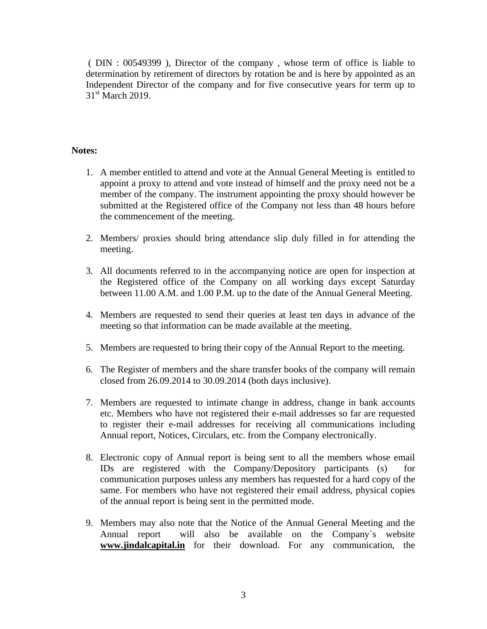( DIN : 00549399 ), Director of the company , whose term of office is liable to determination by retirement of directors by rotation be and is here by appointed as an Independent Director of the company and for five consecutive years for term up to  $31<sup>st</sup>$  March 2019.

#### **Notes:**

- 1. A member entitled to attend and vote at the Annual General Meeting is entitled to appoint a proxy to attend and vote instead of himself and the proxy need not be a member of the company. The instrument appointing the proxy should however be submitted at the Registered office of the Company not less than 48 hours before the commencement of the meeting.
- 2. Members/ proxies should bring attendance slip duly filled in for attending the meeting.
- 3. All documents referred to in the accompanying notice are open for inspection at the Registered office of the Company on all working days except Saturday between 11.00 A.M. and 1.00 P.M. up to the date of the Annual General Meeting.
- 4. Members are requested to send their queries at least ten days in advance of the meeting so that information can be made available at the meeting.
- 5. Members are requested to bring their copy of the Annual Report to the meeting.
- 6. The Register of members and the share transfer books of the company will remain closed from 26.09.2014 to 30.09.2014 (both days inclusive).
- 7. Members are requested to intimate change in address, change in bank accounts etc. Members who have not registered their e-mail addresses so far are requested to register their e-mail addresses for receiving all communications including Annual report, Notices, Circulars, etc. from the Company electronically.
- 8. Electronic copy of Annual report is being sent to all the members whose email IDs are registered with the Company/Depository participants (s) for communication purposes unless any members has requested for a hard copy of the same. For members who have not registered their email address, physical copies of the annual report is being sent in the permitted mode.
- 9. Members may also note that the Notice of the Annual General Meeting and the Annual report will also be available on the Company`s website **www.jindalcapital.in** for their download. For any communication, the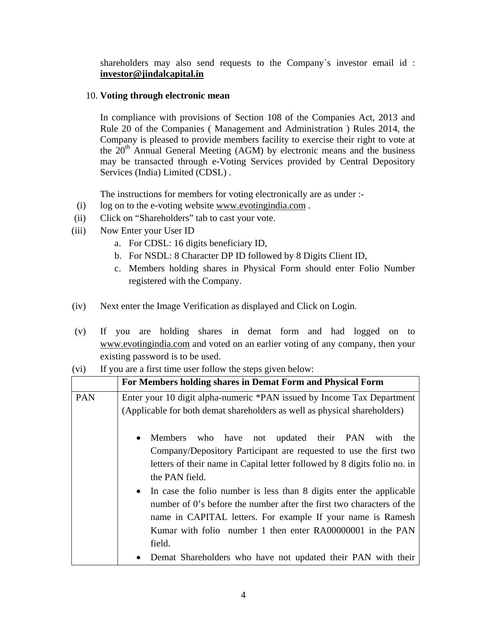shareholders may also send requests to the Company`s investor email id : **investor@jindalcapital.in**

# 10. **Voting through electronic mean**

In compliance with provisions of Section 108 of the Companies Act, 2013 and Rule 20 of the Companies ( Management and Administration ) Rules 2014, the Company is pleased to provide members facility to exercise their right to vote at the  $20<sup>th</sup>$  Annual General Meeting (AGM) by electronic means and the business may be transacted through e-Voting Services provided by Central Depository Services (India) Limited (CDSL) .

The instructions for members for voting electronically are as under :-

- (i) log on to the e-voting website www.evotingindia.com .
- (ii) Click on "Shareholders" tab to cast your vote.
- (iii) Now Enter your User ID
	- a. For CDSL: 16 digits beneficiary ID,
	- b. For NSDL: 8 Character DP ID followed by 8 Digits Client ID,
	- c. Members holding shares in Physical Form should enter Folio Number registered with the Company.
- (iv) Next enter the Image Verification as displayed and Click on Login.
- (v) If you are holding shares in demat form and had logged on to www.evotingindia.com and voted on an earlier voting of any company, then your existing password is to be used.
- (vi) If you are a first time user follow the steps given below:

|            | For Members holding shares in Demat Form and Physical Form                                                                                                                                                                                                                                                                                                                                                                                                                                                                                                                                              |  |  |  |  |
|------------|---------------------------------------------------------------------------------------------------------------------------------------------------------------------------------------------------------------------------------------------------------------------------------------------------------------------------------------------------------------------------------------------------------------------------------------------------------------------------------------------------------------------------------------------------------------------------------------------------------|--|--|--|--|
| <b>PAN</b> | Enter your 10 digit alpha-numeric *PAN issued by Income Tax Department<br>(Applicable for both demat shareholders as well as physical shareholders)                                                                                                                                                                                                                                                                                                                                                                                                                                                     |  |  |  |  |
|            | who have not updated their PAN<br><b>Members</b><br>with<br>the<br>Company/Depository Participant are requested to use the first two<br>letters of their name in Capital letter followed by 8 digits folio no. in<br>the PAN field.<br>In case the folio number is less than 8 digits enter the applicable<br>$\bullet$<br>number of 0's before the number after the first two characters of the<br>name in CAPITAL letters. For example If your name is Ramesh<br>Kumar with folio number 1 then enter RA00000001 in the PAN<br>field.<br>Demat Shareholders who have not updated their PAN with their |  |  |  |  |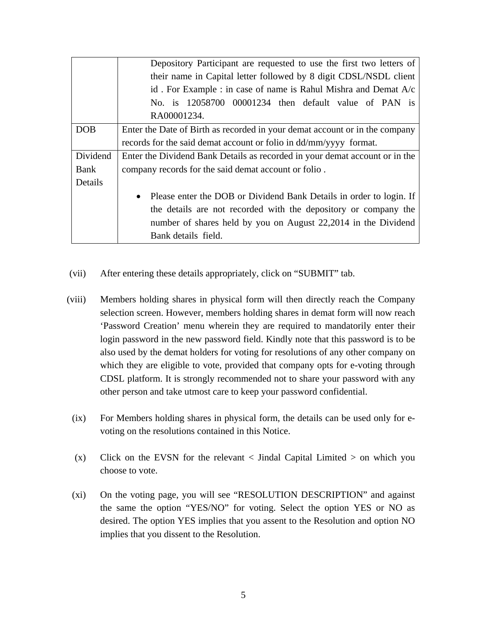|            | Depository Participant are requested to use the first two letters of             |
|------------|----------------------------------------------------------------------------------|
|            | their name in Capital letter followed by 8 digit CDSL/NSDL client                |
|            | id. For Example : in case of name is Rahul Mishra and Demat $A/c$                |
|            | No. is 12058700 00001234 then default value of PAN is                            |
|            | RA00001234.                                                                      |
| <b>DOB</b> | Enter the Date of Birth as recorded in your demat account or in the company      |
|            | records for the said demat account or folio in dd/mm/yyyy format.                |
| Dividend   | Enter the Dividend Bank Details as recorded in your demat account or in the      |
| Bank       | company records for the said demat account or folio.                             |
| Details    |                                                                                  |
|            | Please enter the DOB or Dividend Bank Details in order to login. If<br>$\bullet$ |
|            | the details are not recorded with the depository or company the                  |
|            | number of shares held by you on August 22,2014 in the Dividend                   |
|            | Bank details field.                                                              |

- (vii) After entering these details appropriately, click on "SUBMIT" tab.
- (viii) Members holding shares in physical form will then directly reach the Company selection screen. However, members holding shares in demat form will now reach 'Password Creation' menu wherein they are required to mandatorily enter their login password in the new password field. Kindly note that this password is to be also used by the demat holders for voting for resolutions of any other company on which they are eligible to vote, provided that company opts for e-voting through CDSL platform. It is strongly recommended not to share your password with any other person and take utmost care to keep your password confidential.
	- (ix) For Members holding shares in physical form, the details can be used only for evoting on the resolutions contained in this Notice.
	- (x) Click on the EVSN for the relevant  $\langle$  Jindal Capital Limited  $\rangle$  on which you choose to vote.
	- (xi) On the voting page, you will see "RESOLUTION DESCRIPTION" and against the same the option "YES/NO" for voting. Select the option YES or NO as desired. The option YES implies that you assent to the Resolution and option NO implies that you dissent to the Resolution.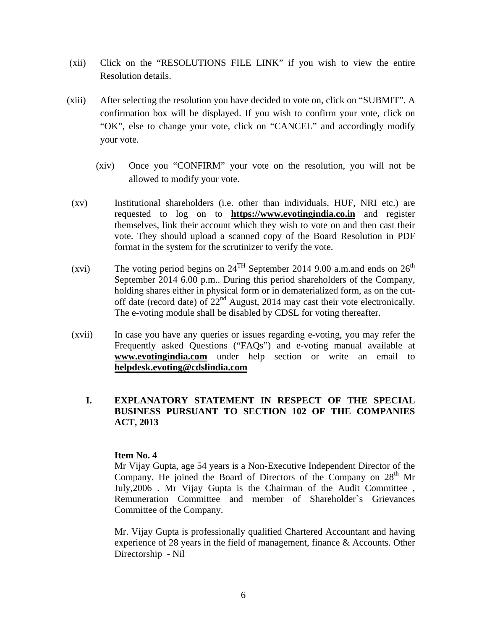- (xii) Click on the "RESOLUTIONS FILE LINK" if you wish to view the entire Resolution details.
- (xiii) After selecting the resolution you have decided to vote on, click on "SUBMIT". A confirmation box will be displayed. If you wish to confirm your vote, click on "OK", else to change your vote, click on "CANCEL" and accordingly modify your vote.
	- (xiv) Once you "CONFIRM" your vote on the resolution, you will not be allowed to modify your vote.
	- (xv) Institutional shareholders (i.e. other than individuals, HUF, NRI etc.) are requested to log on to **https://www.evotingindia.co.in** and register themselves, link their account which they wish to vote on and then cast their vote. They should upload a scanned copy of the Board Resolution in PDF format in the system for the scrutinizer to verify the vote.
- (xvi) The voting period begins on  $24^{TH}$  September 2014 9.00 a.m.and ends on  $26^{th}$ September 2014 6.00 p.m.. During this period shareholders of the Company, holding shares either in physical form or in dematerialized form, as on the cutoff date (record date) of 22nd August, 2014 may cast their vote electronically. The e-voting module shall be disabled by CDSL for voting thereafter.
- (xvii) In case you have any queries or issues regarding e-voting, you may refer the Frequently asked Questions ("FAQs") and e-voting manual available at **www.evotingindia.com** under help section or write an email to **helpdesk.evoting@cdslindia.com**
	- **I. EXPLANATORY STATEMENT IN RESPECT OF THE SPECIAL BUSINESS PURSUANT TO SECTION 102 OF THE COMPANIES ACT, 2013**

#### **Item No. 4**

Mr Vijay Gupta, age 54 years is a Non-Executive Independent Director of the Company. He joined the Board of Directors of the Company on  $28<sup>th</sup>$  Mr July,2006 . Mr Vijay Gupta is the Chairman of the Audit Committee , Remuneration Committee and member of Shareholder`s Grievances Committee of the Company.

Mr. Vijay Gupta is professionally qualified Chartered Accountant and having experience of 28 years in the field of management, finance & Accounts. Other Directorship - Nil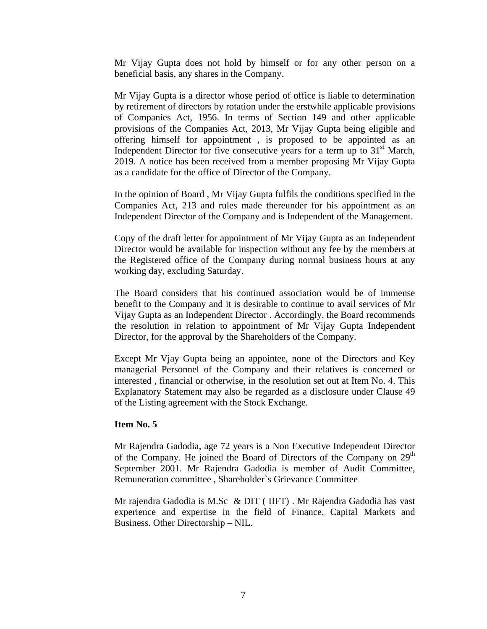Mr Vijay Gupta does not hold by himself or for any other person on a beneficial basis, any shares in the Company.

Mr Vijay Gupta is a director whose period of office is liable to determination by retirement of directors by rotation under the erstwhile applicable provisions of Companies Act, 1956. In terms of Section 149 and other applicable provisions of the Companies Act, 2013, Mr Vijay Gupta being eligible and offering himself for appointment , is proposed to be appointed as an Independent Director for five consecutive years for a term up to  $31<sup>st</sup>$  March, 2019. A notice has been received from a member proposing Mr Vijay Gupta as a candidate for the office of Director of the Company.

In the opinion of Board , Mr Vijay Gupta fulfils the conditions specified in the Companies Act, 213 and rules made thereunder for his appointment as an Independent Director of the Company and is Independent of the Management.

Copy of the draft letter for appointment of Mr Vijay Gupta as an Independent Director would be available for inspection without any fee by the members at the Registered office of the Company during normal business hours at any working day, excluding Saturday.

The Board considers that his continued association would be of immense benefit to the Company and it is desirable to continue to avail services of Mr Vijay Gupta as an Independent Director . Accordingly, the Board recommends the resolution in relation to appointment of Mr Vijay Gupta Independent Director, for the approval by the Shareholders of the Company.

Except Mr Vjay Gupta being an appointee, none of the Directors and Key managerial Personnel of the Company and their relatives is concerned or interested , financial or otherwise, in the resolution set out at Item No. 4. This Explanatory Statement may also be regarded as a disclosure under Clause 49 of the Listing agreement with the Stock Exchange.

#### **Item No. 5**

Mr Rajendra Gadodia, age 72 years is a Non Executive Independent Director of the Company. He joined the Board of Directors of the Company on  $29<sup>th</sup>$ September 2001. Mr Rajendra Gadodia is member of Audit Committee, Remuneration committee , Shareholder`s Grievance Committee

Mr rajendra Gadodia is M.Sc & DIT ( IIFT) . Mr Rajendra Gadodia has vast experience and expertise in the field of Finance, Capital Markets and Business. Other Directorship – NIL.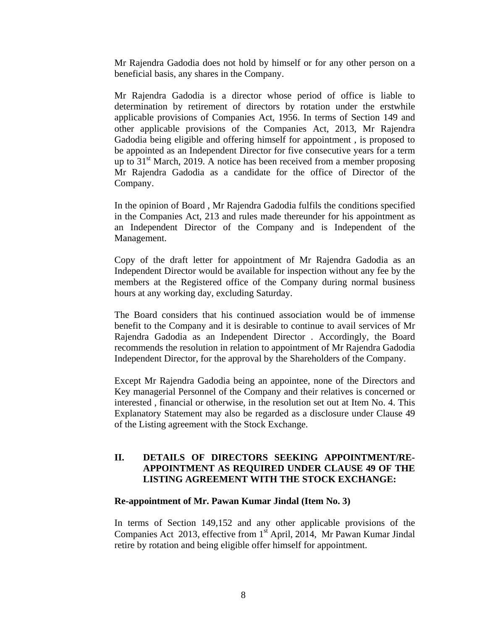Mr Rajendra Gadodia does not hold by himself or for any other person on a beneficial basis, any shares in the Company.

Mr Rajendra Gadodia is a director whose period of office is liable to determination by retirement of directors by rotation under the erstwhile applicable provisions of Companies Act, 1956. In terms of Section 149 and other applicable provisions of the Companies Act, 2013, Mr Rajendra Gadodia being eligible and offering himself for appointment , is proposed to be appointed as an Independent Director for five consecutive years for a term up to  $31<sup>st</sup>$  March, 2019. A notice has been received from a member proposing Mr Rajendra Gadodia as a candidate for the office of Director of the Company.

In the opinion of Board , Mr Rajendra Gadodia fulfils the conditions specified in the Companies Act, 213 and rules made thereunder for his appointment as an Independent Director of the Company and is Independent of the Management.

Copy of the draft letter for appointment of Mr Rajendra Gadodia as an Independent Director would be available for inspection without any fee by the members at the Registered office of the Company during normal business hours at any working day, excluding Saturday.

The Board considers that his continued association would be of immense benefit to the Company and it is desirable to continue to avail services of Mr Rajendra Gadodia as an Independent Director . Accordingly, the Board recommends the resolution in relation to appointment of Mr Rajendra Gadodia Independent Director, for the approval by the Shareholders of the Company.

Except Mr Rajendra Gadodia being an appointee, none of the Directors and Key managerial Personnel of the Company and their relatives is concerned or interested , financial or otherwise, in the resolution set out at Item No. 4. This Explanatory Statement may also be regarded as a disclosure under Clause 49 of the Listing agreement with the Stock Exchange.

# **II. DETAILS OF DIRECTORS SEEKING APPOINTMENT/RE-APPOINTMENT AS REQUIRED UNDER CLAUSE 49 OF THE LISTING AGREEMENT WITH THE STOCK EXCHANGE:**

#### **Re-appointment of Mr. Pawan Kumar Jindal (Item No. 3)**

In terms of Section 149,152 and any other applicable provisions of the Companies Act 2013, effective from 1<sup>st</sup> April, 2014, Mr Pawan Kumar Jindal retire by rotation and being eligible offer himself for appointment.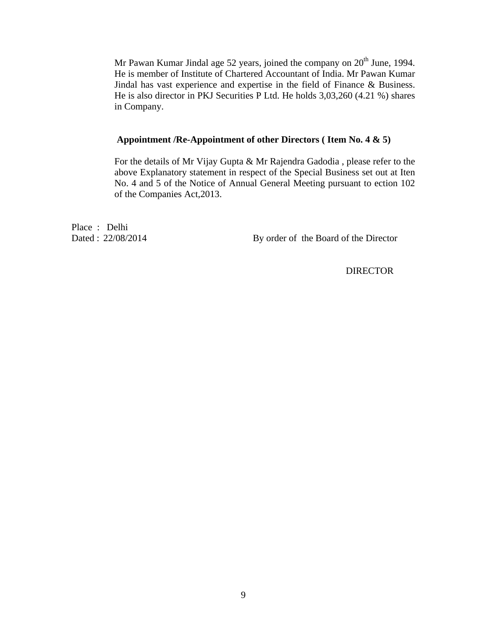Mr Pawan Kumar Jindal age 52 years, joined the company on  $20<sup>th</sup>$  June, 1994. He is member of Institute of Chartered Accountant of India. Mr Pawan Kumar Jindal has vast experience and expertise in the field of Finance & Business. He is also director in PKJ Securities P Ltd. He holds 3,03,260 (4.21 %) shares in Company.

#### **Appointment /Re-Appointment of other Directors ( Item No. 4 & 5)**

For the details of Mr Vijay Gupta & Mr Rajendra Gadodia , please refer to the above Explanatory statement in respect of the Special Business set out at Iten No. 4 and 5 of the Notice of Annual General Meeting pursuant to ection 102 of the Companies Act,2013.

Place : Delhi

Dated : 22/08/2014 By order of the Board of the Director

DIRECTOR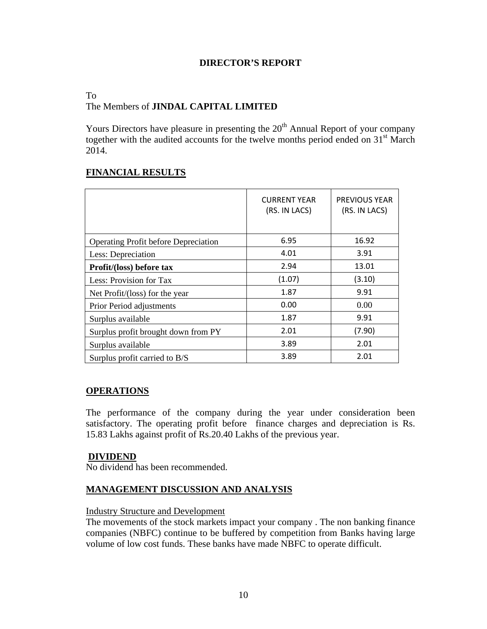# **DIRECTOR'S REPORT**

# To The Members of **JINDAL CAPITAL LIMITED**

Yours Directors have pleasure in presenting the  $20<sup>th</sup>$  Annual Report of your company together with the audited accounts for the twelve months period ended on  $31<sup>st</sup>$  March 2014.

# **FINANCIAL RESULTS**

|                                             | <b>CURRENT YEAR</b><br>(RS. IN LACS) | <b>PREVIOUS YEAR</b><br>(RS. IN LACS) |
|---------------------------------------------|--------------------------------------|---------------------------------------|
| <b>Operating Profit before Depreciation</b> | 6.95                                 | 16.92                                 |
| Less: Depreciation                          | 4.01                                 | 3.91                                  |
| Profit/(loss) before tax                    | 2.94                                 | 13.01                                 |
| Less: Provision for Tax                     | (1.07)                               | (3.10)                                |
| Net Profit/(loss) for the year              | 1.87                                 | 9.91                                  |
| Prior Period adjustments                    | 0.00                                 | 0.00                                  |
| Surplus available                           | 1.87                                 | 9.91                                  |
| Surplus profit brought down from PY         | 2.01                                 | (7.90)                                |
| Surplus available                           | 3.89                                 | 2.01                                  |
| Surplus profit carried to B/S               | 3.89                                 | 2.01                                  |

# **OPERATIONS**

The performance of the company during the year under consideration been satisfactory. The operating profit before finance charges and depreciation is Rs. 15.83 Lakhs against profit of Rs.20.40 Lakhs of the previous year.

#### **DIVIDEND**

No dividend has been recommended.

# **MANAGEMENT DISCUSSION AND ANALYSIS**

# Industry Structure and Development

The movements of the stock markets impact your company . The non banking finance companies (NBFC) continue to be buffered by competition from Banks having large volume of low cost funds. These banks have made NBFC to operate difficult.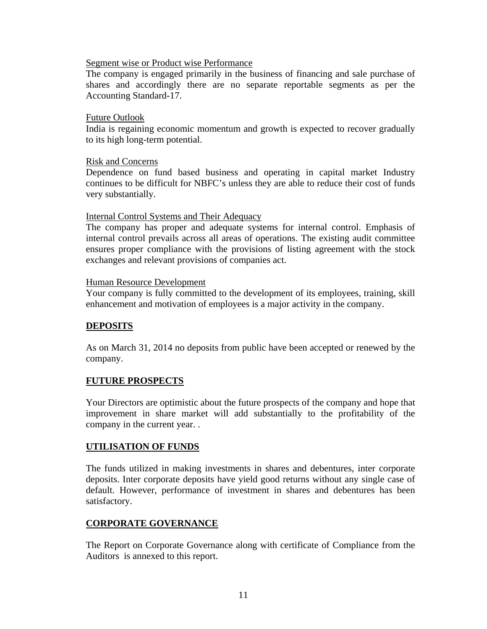#### Segment wise or Product wise Performance

The company is engaged primarily in the business of financing and sale purchase of shares and accordingly there are no separate reportable segments as per the Accounting Standard-17.

#### Future Outlook

India is regaining economic momentum and growth is expected to recover gradually to its high long-term potential.

#### Risk and Concerns

Dependence on fund based business and operating in capital market Industry continues to be difficult for NBFC's unless they are able to reduce their cost of funds very substantially.

#### Internal Control Systems and Their Adequacy

The company has proper and adequate systems for internal control. Emphasis of internal control prevails across all areas of operations. The existing audit committee ensures proper compliance with the provisions of listing agreement with the stock exchanges and relevant provisions of companies act.

#### Human Resource Development

Your company is fully committed to the development of its employees, training, skill enhancement and motivation of employees is a major activity in the company.

# **DEPOSITS**

As on March 31, 2014 no deposits from public have been accepted or renewed by the company.

#### **FUTURE PROSPECTS**

Your Directors are optimistic about the future prospects of the company and hope that improvement in share market will add substantially to the profitability of the company in the current year. .

#### **UTILISATION OF FUNDS**

The funds utilized in making investments in shares and debentures, inter corporate deposits. Inter corporate deposits have yield good returns without any single case of default. However, performance of investment in shares and debentures has been satisfactory.

#### **CORPORATE GOVERNANCE**

The Report on Corporate Governance along with certificate of Compliance from the Auditors is annexed to this report.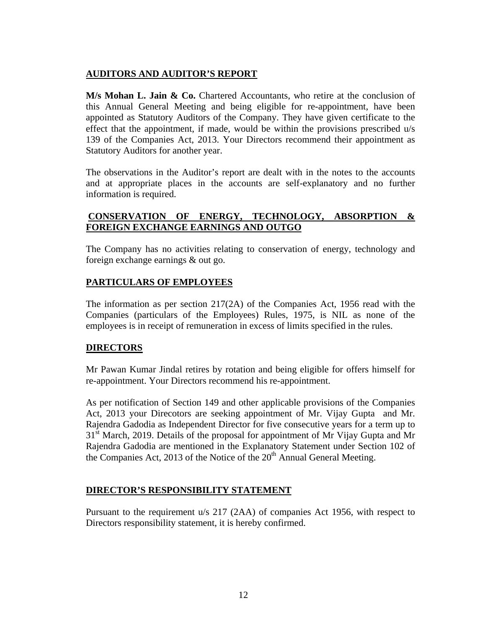# **AUDITORS AND AUDITOR'S REPORT**

M/s Mohan L. Jain & Co. Chartered Accountants, who retire at the conclusion of this Annual General Meeting and being eligible for re-appointment, have been appointed as Statutory Auditors of the Company. They have given certificate to the effect that the appointment, if made, would be within the provisions prescribed u/s 139 of the Companies Act, 2013. Your Directors recommend their appointment as Statutory Auditors for another year.

The observations in the Auditor's report are dealt with in the notes to the accounts and at appropriate places in the accounts are self-explanatory and no further information is required.

# **CONSERVATION OF ENERGY, TECHNOLOGY, ABSORPTION & FOREIGN EXCHANGE EARNINGS AND OUTGO**

The Company has no activities relating to conservation of energy, technology and foreign exchange earnings & out go.

# **PARTICULARS OF EMPLOYEES**

The information as per section  $217(2)$  of the Companies Act, 1956 read with the Companies (particulars of the Employees) Rules, 1975, is NIL as none of the employees is in receipt of remuneration in excess of limits specified in the rules.

# **DIRECTORS**

Mr Pawan Kumar Jindal retires by rotation and being eligible for offers himself for re-appointment. Your Directors recommend his re-appointment.

As per notification of Section 149 and other applicable provisions of the Companies Act, 2013 your Direcotors are seeking appointment of Mr. Vijay Gupta and Mr. Rajendra Gadodia as Independent Director for five consecutive years for a term up to  $31<sup>st</sup>$  March, 2019. Details of the proposal for appointment of Mr Vijay Gupta and Mr Rajendra Gadodia are mentioned in the Explanatory Statement under Section 102 of the Companies Act, 2013 of the Notice of the  $20<sup>th</sup>$  Annual General Meeting.

# **DIRECTOR'S RESPONSIBILITY STATEMENT**

Pursuant to the requirement u/s 217 (2AA) of companies Act 1956, with respect to Directors responsibility statement, it is hereby confirmed.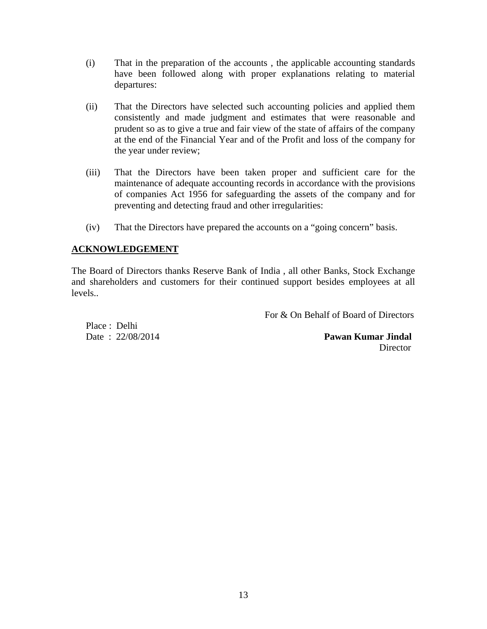- (i) That in the preparation of the accounts , the applicable accounting standards have been followed along with proper explanations relating to material departures:
- (ii) That the Directors have selected such accounting policies and applied them consistently and made judgment and estimates that were reasonable and prudent so as to give a true and fair view of the state of affairs of the company at the end of the Financial Year and of the Profit and loss of the company for the year under review;
- (iii) That the Directors have been taken proper and sufficient care for the maintenance of adequate accounting records in accordance with the provisions of companies Act 1956 for safeguarding the assets of the company and for preventing and detecting fraud and other irregularities:
- (iv) That the Directors have prepared the accounts on a "going concern" basis.

#### **ACKNOWLEDGEMENT**

The Board of Directors thanks Reserve Bank of India , all other Banks, Stock Exchange and shareholders and customers for their continued support besides employees at all levels..

For & On Behalf of Board of Directors

Place : Delhi

Date : 22/08/2014 **Pawan Kumar Jindal Director**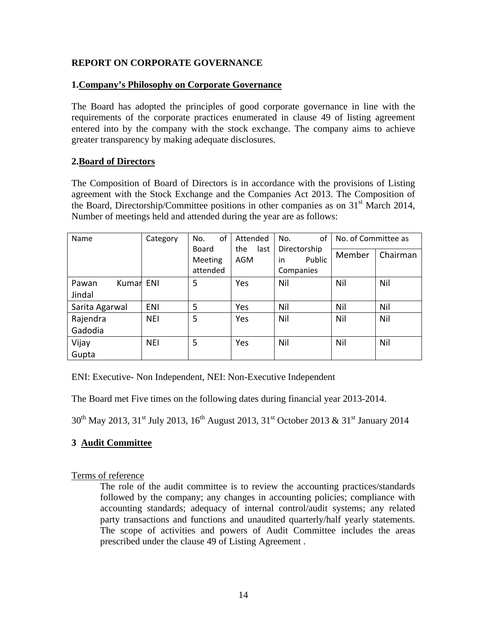# **REPORT ON CORPORATE GOVERNANCE**

#### **1.Company's Philosophy on Corporate Governance**

The Board has adopted the principles of good corporate governance in line with the requirements of the corporate practices enumerated in clause 49 of listing agreement entered into by the company with the stock exchange. The company aims to achieve greater transparency by making adequate disclosures.

#### **2.Board of Directors**

The Composition of Board of Directors is in accordance with the provisions of Listing agreement with the Stock Exchange and the Companies Act 2013. The Composition of the Board, Directorship/Committee positions in other companies as on  $31<sup>st</sup>$  March 2014, Number of meetings held and attended during the year are as follows:

| Name           | Category   | of<br>No.                    | Attended           | of<br>No.                                 | No. of Committee as |          |
|----------------|------------|------------------------------|--------------------|-------------------------------------------|---------------------|----------|
|                |            | Board<br>Meeting<br>attended | the<br>last<br>AGM | Directorship<br>in<br>Public<br>Companies | Member              | Chairman |
|                |            |                              |                    |                                           |                     |          |
| Pawan<br>Kumar | ENI        | 5                            | Yes                | Nil                                       | Nil                 | Nil      |
| Jindal         |            |                              |                    |                                           |                     |          |
| Sarita Agarwal | <b>ENI</b> | 5                            | Yes                | Nil                                       | Nil                 | Nil      |
| Rajendra       | <b>NEI</b> | 5                            | Yes                | Nil                                       | Nil                 | Nil      |
| Gadodia        |            |                              |                    |                                           |                     |          |
| Vijay          | <b>NEI</b> | 5                            | Yes                | Nil                                       | Nil                 | Nil      |
| Gupta          |            |                              |                    |                                           |                     |          |

ENI: Executive- Non Independent, NEI: Non-Executive Independent

The Board met Five times on the following dates during financial year 2013-2014.

30<sup>th</sup> May 2013, 31<sup>st</sup> July 2013, 16<sup>th</sup> August 2013, 31<sup>st</sup> October 2013 & 31<sup>st</sup> January 2014

#### **3 Audit Committee**

#### Terms of reference

The role of the audit committee is to review the accounting practices/standards followed by the company; any changes in accounting policies; compliance with accounting standards; adequacy of internal control/audit systems; any related party transactions and functions and unaudited quarterly/half yearly statements. The scope of activities and powers of Audit Committee includes the areas prescribed under the clause 49 of Listing Agreement .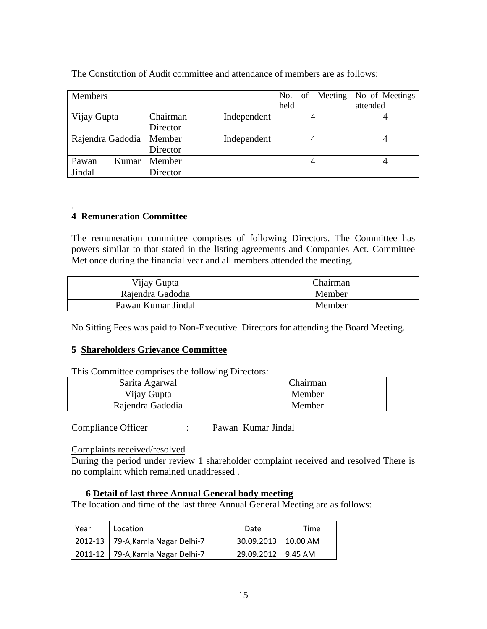The Constitution of Audit committee and attendance of members are as follows:

| <b>Members</b>   |          |             | No.  | of | Meeting | No of Meetings |
|------------------|----------|-------------|------|----|---------|----------------|
|                  |          |             | held |    |         | attended       |
| Vijay Gupta      | Chairman | Independent |      |    |         |                |
|                  | Director |             |      |    |         |                |
| Rajendra Gadodia | Member   | Independent |      |    |         |                |
|                  | Director |             |      |    |         |                |
| Pawan<br>Kumar   | Member   |             |      |    |         |                |
| Jindal           | Director |             |      |    |         |                |

#### . **4 Remuneration Committee**

The remuneration committee comprises of following Directors. The Committee has powers similar to that stated in the listing agreements and Companies Act. Committee Met once during the financial year and all members attended the meeting.

| Vijay Gupta        | Chairman |
|--------------------|----------|
| Rajendra Gadodia   | Member   |
| Pawan Kumar Jindal | Member   |

No Sitting Fees was paid to Non-Executive Directors for attending the Board Meeting.

# **5 Shareholders Grievance Committee**

This Committee comprises the following Directors:

| Sarita Agarwal   | Chairman |
|------------------|----------|
| Vijay Gupta      | Member   |
| Rajendra Gadodia | Member   |

Compliance Officer : Pawan Kumar Jindal

Complaints received/resolved

During the period under review 1 shareholder complaint received and resolved There is no complaint which remained unaddressed .

# **6 Detail of last three Annual General body meeting**

The location and time of the last three Annual General Meeting are as follows:

| Year | Location                            | Date                  | Time |
|------|-------------------------------------|-----------------------|------|
|      | 2012-13   79-A, Kamla Nagar Delhi-7 | 30.09.2013   10.00 AM |      |
|      | 2011-12   79-A, Kamla Nagar Delhi-7 | 29.09.2012 9.45 AM    |      |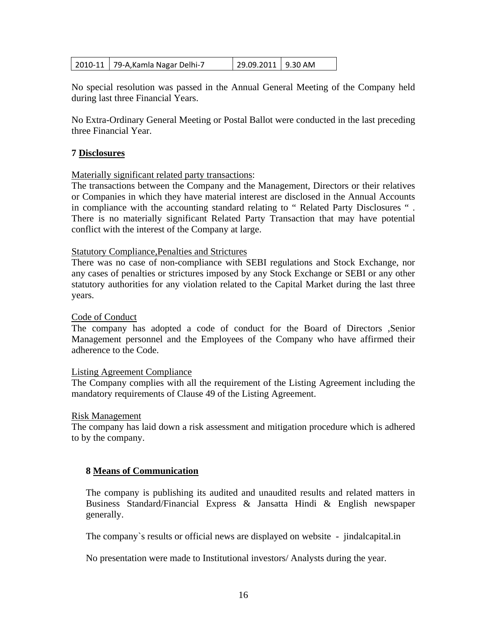|  | 2010-11   79-A, Kamla Nagar Delhi-7 | $\vert$ 29.09.2011   9.30 AM |  |
|--|-------------------------------------|------------------------------|--|
|--|-------------------------------------|------------------------------|--|

No special resolution was passed in the Annual General Meeting of the Company held during last three Financial Years.

No Extra-Ordinary General Meeting or Postal Ballot were conducted in the last preceding three Financial Year.

# **7 Disclosures**

#### Materially significant related party transactions:

The transactions between the Company and the Management, Directors or their relatives or Companies in which they have material interest are disclosed in the Annual Accounts in compliance with the accounting standard relating to " Related Party Disclosures " . There is no materially significant Related Party Transaction that may have potential conflict with the interest of the Company at large.

#### Statutory Compliance,Penalties and Strictures

There was no case of non-compliance with SEBI regulations and Stock Exchange, nor any cases of penalties or strictures imposed by any Stock Exchange or SEBI or any other statutory authorities for any violation related to the Capital Market during the last three years.

#### Code of Conduct

The company has adopted a code of conduct for the Board of Directors ,Senior Management personnel and the Employees of the Company who have affirmed their adherence to the Code.

#### Listing Agreement Compliance

The Company complies with all the requirement of the Listing Agreement including the mandatory requirements of Clause 49 of the Listing Agreement.

#### Risk Management

The company has laid down a risk assessment and mitigation procedure which is adhered to by the company.

#### **8 Means of Communication**

The company is publishing its audited and unaudited results and related matters in Business Standard/Financial Express & Jansatta Hindi & English newspaper generally.

The company`s results or official news are displayed on website - jindalcapital.in

No presentation were made to Institutional investors/ Analysts during the year.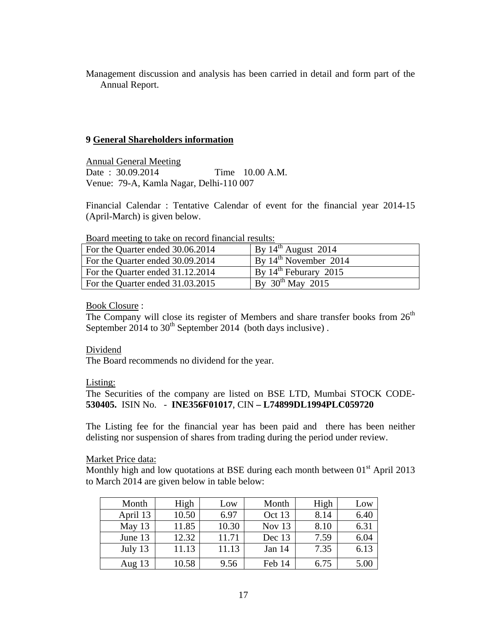Management discussion and analysis has been carried in detail and form part of the Annual Report.

# **9 General Shareholders information**

Annual General Meeting Date : 30.09.2014 Time 10.00 A.M. Venue: 79-A, Kamla Nagar, Delhi-110 007

Financial Calendar : Tentative Calendar of event for the financial year 2014-15 (April-March) is given below.

Board meeting to take on record financial results:

| For the Quarter ended 30.06.2014 | By $14^{\text{th}}$ August 2014           |
|----------------------------------|-------------------------------------------|
| For the Quarter ended 30.09.2014 | By $14^{\text{th}}$ November 2014         |
| For the Quarter ended 31.12.2014 | $\vert$ By 14 <sup>th</sup> Feburary 2015 |
| For the Quarter ended 31.03.2015 | By $30^{th}$ May 2015                     |

Book Closure :

The Company will close its register of Members and share transfer books from  $26<sup>th</sup>$ September 2014 to 30<sup>th</sup> September 2014 (both days inclusive).

#### Dividend

The Board recommends no dividend for the year.

#### Listing:

The Securities of the company are listed on BSE LTD, Mumbai STOCK CODE-**530405.** ISIN No. - **INE356F01017**, CIN **– L74899DL1994PLC059720** 

The Listing fee for the financial year has been paid and there has been neither delisting nor suspension of shares from trading during the period under review.

Market Price data:

Monthly high and low quotations at BSE during each month between  $01<sup>st</sup>$  April 2013 to March 2014 are given below in table below:

| Month    | High  | Low   | Month    | High | Low  |
|----------|-------|-------|----------|------|------|
| April 13 | 10.50 | 6.97  | Oct 13   | 8.14 | 6.40 |
| May $13$ | 11.85 | 10.30 | Nov $13$ | 8.10 | 6.31 |
| June 13  | 12.32 | 11.71 | Dec 13   | 7.59 | 6.04 |
| July 13  | 11.13 | 11.13 | Jan $14$ | 7.35 | 6.13 |
| Aug $13$ | 10.58 | 9.56  | Feb 14   | 6.75 | 5.00 |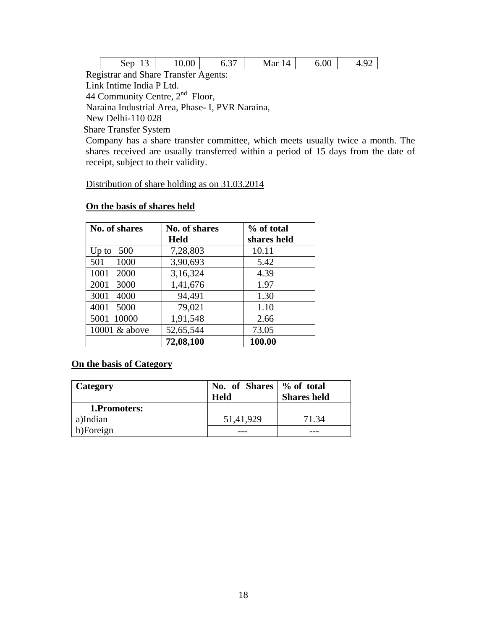| $\alpha r$<br><u>w</u><br><u>. .</u> | <b>.</b><br> |  |  |
|--------------------------------------|--------------|--|--|
|--------------------------------------|--------------|--|--|

Registrar and Share Transfer Agents:

Link Intime India P Ltd. 44 Community Centre, 2nd Floor,

Naraina Industrial Area, Phase- I, PVR Naraina,

New Delhi-110 028

Share Transfer System

Company has a share transfer committee, which meets usually twice a month. The shares received are usually transferred within a period of 15 days from the date of receipt, subject to their validity.

Distribution of share holding as on 31.03.2014

| No. of shares  | <b>No. of shares</b> | % of total  |
|----------------|----------------------|-------------|
|                | <b>Held</b>          | shares held |
| 500<br>$Up$ to | 7,28,803             | 10.11       |
| 501<br>1000    | 3,90,693             | 5.42        |
| 1001<br>2000   | 3,16,324             | 4.39        |
| 2001<br>3000   | 1,41,676             | 1.97        |
| 3001<br>4000   | 94,491               | 1.30        |
| 4001<br>5000   | 79,021               | 1.10        |
| 10000<br>5001  | 1,91,548             | 2.66        |
| 10001 & above  | 52,65,544            | 73.05       |
|                | 72,08,100            | 100.00      |

# **On the basis of shares held**

#### **On the basis of Category**

| Category            | No. of Shares $\frac{1}{6}$ of total<br><b>Held</b> | <b>Shares held</b> |
|---------------------|-----------------------------------------------------|--------------------|
| <b>1.Promoters:</b> |                                                     |                    |
| a)Indian            | 51,41,929                                           | 71.34              |
| b)Foreign           |                                                     |                    |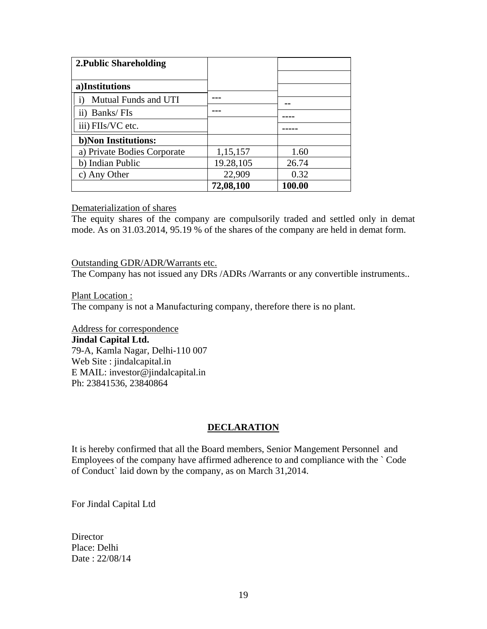| 2. Public Shareholding      |           |        |
|-----------------------------|-----------|--------|
|                             |           |        |
| a)Institutions              |           |        |
| Mutual Funds and UTI        |           |        |
| ii) Banks/FIs               |           |        |
| iii) FIIs/VC etc.           |           |        |
| <b>b)Non Institutions:</b>  |           |        |
| a) Private Bodies Corporate | 1,15,157  | 1.60   |
| b) Indian Public            | 19.28,105 | 26.74  |
| c) Any Other                | 22,909    | 0.32   |
|                             | 72,08,100 | 100.00 |

Dematerialization of shares

The equity shares of the company are compulsorily traded and settled only in demat mode. As on 31.03.2014, 95.19 % of the shares of the company are held in demat form.

Outstanding GDR/ADR/Warrants etc. The Company has not issued any DRs /ADRs /Warrants or any convertible instruments..

Plant Location :

The company is not a Manufacturing company, therefore there is no plant.

Address for correspondence **Jindal Capital Ltd.**  79-A, Kamla Nagar, Delhi-110 007 Web Site : jindalcapital.in E MAIL: investor@jindalcapital.in Ph: 23841536, 23840864

#### **DECLARATION**

It is hereby confirmed that all the Board members, Senior Mangement Personnel and Employees of the company have affirmed adherence to and compliance with the ` Code of Conduct` laid down by the company, as on March 31,2014.

For Jindal Capital Ltd

**Director** Place: Delhi Date : 22/08/14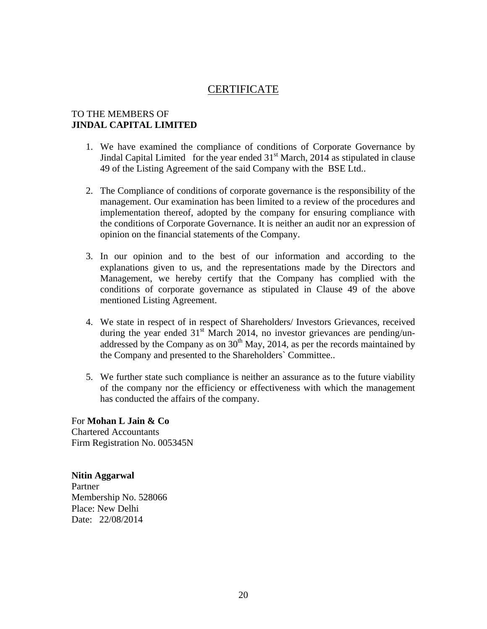# **CERTIFICATE**

# TO THE MEMBERS OF **JINDAL CAPITAL LIMITED**

- 1. We have examined the compliance of conditions of Corporate Governance by Jindal Capital Limited for the year ended  $31<sup>st</sup>$  March, 2014 as stipulated in clause 49 of the Listing Agreement of the said Company with the BSE Ltd..
- 2. The Compliance of conditions of corporate governance is the responsibility of the management. Our examination has been limited to a review of the procedures and implementation thereof, adopted by the company for ensuring compliance with the conditions of Corporate Governance. It is neither an audit nor an expression of opinion on the financial statements of the Company.
- 3. In our opinion and to the best of our information and according to the explanations given to us, and the representations made by the Directors and Management, we hereby certify that the Company has complied with the conditions of corporate governance as stipulated in Clause 49 of the above mentioned Listing Agreement.
- 4. We state in respect of in respect of Shareholders/ Investors Grievances, received during the year ended  $31<sup>st</sup>$  March 2014, no investor grievances are pending/unaddressed by the Company as on  $30<sup>th</sup>$  May, 2014, as per the records maintained by the Company and presented to the Shareholders` Committee..
- 5. We further state such compliance is neither an assurance as to the future viability of the company nor the efficiency or effectiveness with which the management has conducted the affairs of the company.

For **Mohan L Jain & Co** Chartered Accountants Firm Registration No. 005345N

**Nitin Aggarwal**  Partner Membership No. 528066 Place: New Delhi Date: 22/08/2014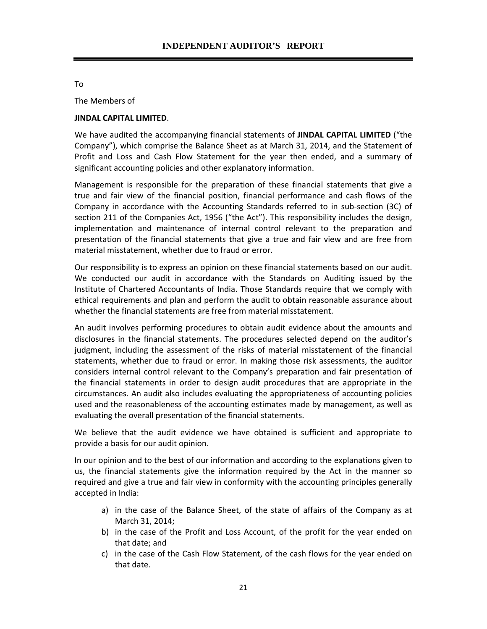To

The Members of

#### **JINDAL CAPITAL LIMITED**.

We have audited the accompanying financial statements of **JINDAL CAPITAL LIMITED** ("the Company"), which comprise the Balance Sheet as at March 31, 2014, and the Statement of Profit and Loss and Cash Flow Statement for the year then ended, and a summary of significant accounting policies and other explanatory information.

Management is responsible for the preparation of these financial statements that give a true and fair view of the financial position, financial performance and cash flows of the Company in accordance with the Accounting Standards referred to in sub‐section (3C) of section 211 of the Companies Act, 1956 ("the Act"). This responsibility includes the design, implementation and maintenance of internal control relevant to the preparation and presentation of the financial statements that give a true and fair view and are free from material misstatement, whether due to fraud or error.

Our responsibility is to express an opinion on these financial statements based on our audit. We conducted our audit in accordance with the Standards on Auditing issued by the Institute of Chartered Accountants of India. Those Standards require that we comply with ethical requirements and plan and perform the audit to obtain reasonable assurance about whether the financial statements are free from material misstatement.

An audit involves performing procedures to obtain audit evidence about the amounts and disclosures in the financial statements. The procedures selected depend on the auditor's judgment, including the assessment of the risks of material misstatement of the financial statements, whether due to fraud or error. In making those risk assessments, the auditor considers internal control relevant to the Company's preparation and fair presentation of the financial statements in order to design audit procedures that are appropriate in the circumstances. An audit also includes evaluating the appropriateness of accounting policies used and the reasonableness of the accounting estimates made by management, as well as evaluating the overall presentation of the financial statements.

We believe that the audit evidence we have obtained is sufficient and appropriate to provide a basis for our audit opinion.

In our opinion and to the best of our information and according to the explanations given to us, the financial statements give the information required by the Act in the manner so required and give a true and fair view in conformity with the accounting principles generally accepted in India:

- a) in the case of the Balance Sheet, of the state of affairs of the Company as at March 31, 2014;
- b) in the case of the Profit and Loss Account, of the profit for the year ended on that date; and
- c) in the case of the Cash Flow Statement, of the cash flows for the year ended on that date.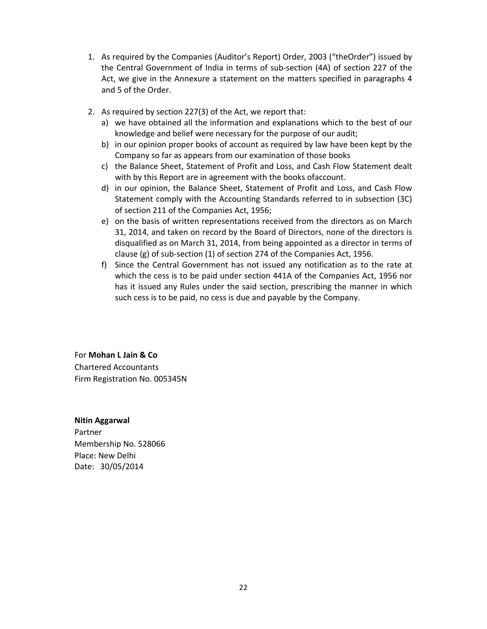- 1. As required by the Companies (Auditor's Report) Order, 2003 ("theOrder") issued by the Central Government of India in terms of sub‐section (4A) of section 227 of the Act, we give in the Annexure a statement on the matters specified in paragraphs 4 and 5 of the Order.
- 2. As required by section 227(3) of the Act, we report that:
	- a) we have obtained all the information and explanations which to the best of our knowledge and belief were necessary for the purpose of our audit;
	- b) in our opinion proper books of account as required by law have been kept by the Company so far as appears from our examination of those books
	- c) the Balance Sheet, Statement of Profit and Loss, and Cash Flow Statement dealt with by this Report are in agreement with the books ofaccount.
	- d) in our opinion, the Balance Sheet, Statement of Profit and Loss, and Cash Flow Statement comply with the Accounting Standards referred to in subsection (3C) of section 211 of the Companies Act, 1956;
	- e) on the basis of written representations received from the directors as on March 31, 2014, and taken on record by the Board of Directors, none of the directors is disqualified as on March 31, 2014, from being appointed as a director in terms of clause (g) of sub‐section (1) of section 274 of the Companies Act, 1956.
	- f) Since the Central Government has not issued any notification as to the rate at which the cess is to be paid under section 441A of the Companies Act, 1956 nor has it issued any Rules under the said section, prescribing the manner in which such cess is to be paid, no cess is due and payable by the Company.

For **Mohan L Jain & Co** Chartered Accountants Firm Registration No. 005345N

#### **Nitin Aggarwal**

Partner Membership No. 528066 Place: New Delhi Date: 30/05/2014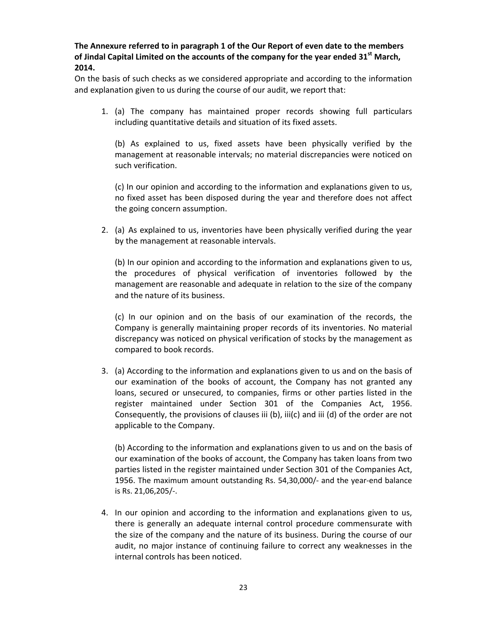# **The Annexure referred to in paragraph 1 of the Our Report of even date to the members of Jindal Capital Limited on the accounts of the company for the year ended 31st March, 2014.**

On the basis of such checks as we considered appropriate and according to the information and explanation given to us during the course of our audit, we report that:

1. (a) The company has maintained proper records showing full particulars including quantitative details and situation of its fixed assets.

(b) As explained to us, fixed assets have been physically verified by the management at reasonable intervals; no material discrepancies were noticed on such verification.

(c) In our opinion and according to the information and explanations given to us, no fixed asset has been disposed during the year and therefore does not affect the going concern assumption.

2. (a) As explained to us, inventories have been physically verified during the year by the management at reasonable intervals.

(b) In our opinion and according to the information and explanations given to us, the procedures of physical verification of inventories followed by the management are reasonable and adequate in relation to the size of the company and the nature of its business.

(c) In our opinion and on the basis of our examination of the records, the Company is generally maintaining proper records of its inventories. No material discrepancy was noticed on physical verification of stocks by the management as compared to book records.

3. (a) According to the information and explanations given to us and on the basis of our examination of the books of account, the Company has not granted any loans, secured or unsecured, to companies, firms or other parties listed in the register maintained under Section 301 of the Companies Act, 1956. Consequently, the provisions of clauses iii (b), iii(c) and iii (d) of the order are not applicable to the Company.

(b) According to the information and explanations given to us and on the basis of our examination of the books of account, the Company has taken loans from two parties listed in the register maintained under Section 301 of the Companies Act, 1956. The maximum amount outstanding Rs. 54,30,000/‐ and the year‐end balance is Rs. 21,06,205/‐.

4. In our opinion and according to the information and explanations given to us, there is generally an adequate internal control procedure commensurate with the size of the company and the nature of its business. During the course of our audit, no major instance of continuing failure to correct any weaknesses in the internal controls has been noticed.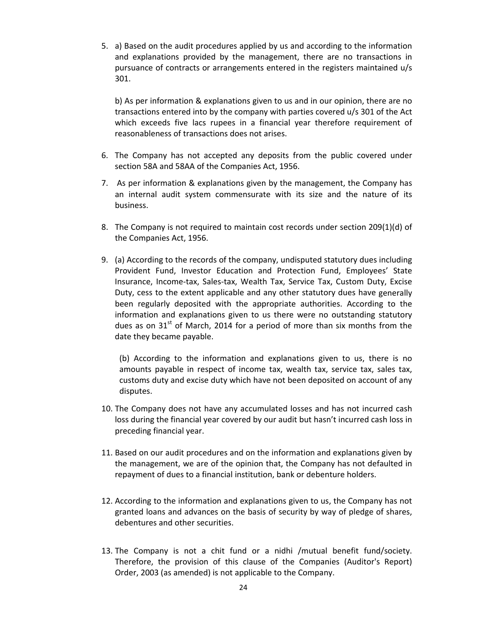5. a) Based on the audit procedures applied by us and according to the information and explanations provided by the management, there are no transactions in pursuance of contracts or arrangements entered in the registers maintained u/s 301.

b) As per information & explanations given to us and in our opinion, there are no transactions entered into by the company with parties covered u/s 301 of the Act which exceeds five lacs rupees in a financial year therefore requirement of reasonableness of transactions does not arises.

- 6. The Company has not accepted any deposits from the public covered under section 58A and 58AA of the Companies Act, 1956.
- 7. As per information & explanations given by the management, the Company has an internal audit system commensurate with its size and the nature of its business.
- 8. The Company is not required to maintain cost records under section 209(1)(d) of the Companies Act, 1956.
- 9. (a) According to the records of the company, undisputed statutory dues including Provident Fund, Investor Education and Protection Fund, Employees' State Insurance, Income‐tax, Sales‐tax, Wealth Tax, Service Tax, Custom Duty, Excise Duty, cess to the extent applicable and any other statutory dues have generally been regularly deposited with the appropriate authorities. According to the information and explanations given to us there were no outstanding statutory dues as on  $31<sup>st</sup>$  of March, 2014 for a period of more than six months from the date they became payable.

(b) According to the information and explanations given to us, there is no amounts payable in respect of income tax, wealth tax, service tax, sales tax, customs duty and excise duty which have not been deposited on account of any disputes.

- 10. The Company does not have any accumulated losses and has not incurred cash loss during the financial year covered by our audit but hasn't incurred cash loss in preceding financial year.
- 11. Based on our audit procedures and on the information and explanations given by the management, we are of the opinion that, the Company has not defaulted in repayment of dues to a financial institution, bank or debenture holders.
- 12. According to the information and explanations given to us, the Company has not granted loans and advances on the basis of security by way of pledge of shares, debentures and other securities.
- 13. The Company is not a chit fund or a nidhi /mutual benefit fund/society. Therefore, the provision of this clause of the Companies (Auditor's Report) Order, 2003 (as amended) is not applicable to the Company.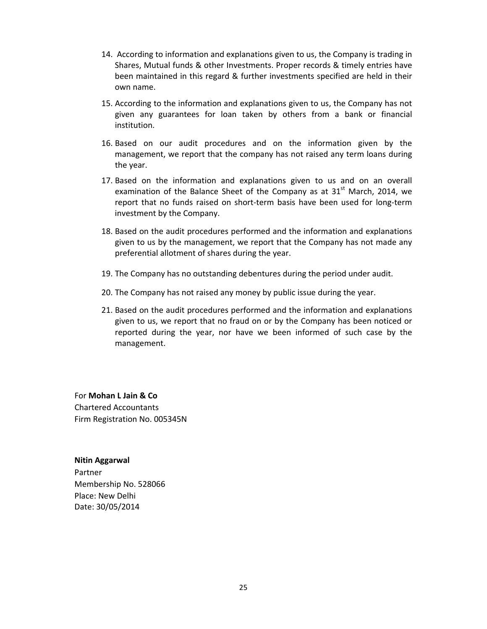- 14. According to information and explanations given to us, the Company is trading in Shares, Mutual funds & other Investments. Proper records & timely entries have been maintained in this regard & further investments specified are held in their own name.
- 15. According to the information and explanations given to us, the Company has not given any guarantees for loan taken by others from a bank or financial institution.
- 16. Based on our audit procedures and on the information given by the management, we report that the company has not raised any term loans during the year.
- 17. Based on the information and explanations given to us and on an overall examination of the Balance Sheet of the Company as at  $31<sup>st</sup>$  March, 2014, we report that no funds raised on short-term basis have been used for long-term investment by the Company.
- 18. Based on the audit procedures performed and the information and explanations given to us by the management, we report that the Company has not made any preferential allotment of shares during the year.
- 19. The Company has no outstanding debentures during the period under audit.
- 20. The Company has not raised any money by public issue during the year.
- 21. Based on the audit procedures performed and the information and explanations given to us, we report that no fraud on or by the Company has been noticed or reported during the year, nor have we been informed of such case by the management.

For **Mohan L Jain & Co** Chartered Accountants Firm Registration No. 005345N

**Nitin Aggarwal**

Partner Membership No. 528066 Place: New Delhi Date: 30/05/2014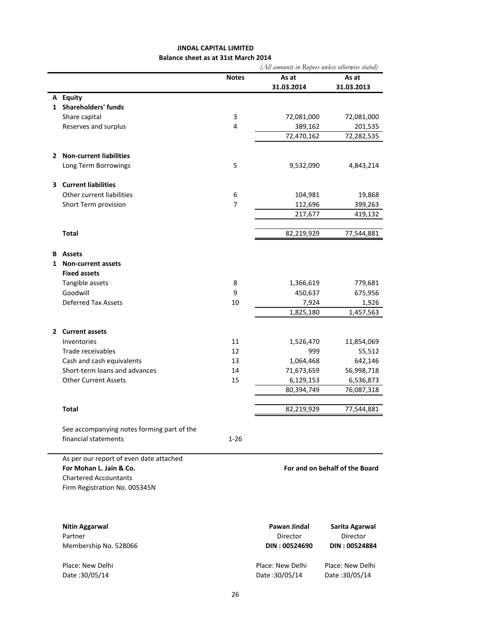|                                            |                | (All amounts in Rupees unless otherwise stated) |                                |
|--------------------------------------------|----------------|-------------------------------------------------|--------------------------------|
|                                            | <b>Notes</b>   | As at                                           | As at                          |
|                                            |                | 31.03.2014                                      | 31.03.2013                     |
| A Equity                                   |                |                                                 |                                |
| 1 Shareholders' funds                      |                |                                                 |                                |
| Share capital                              | $\mathbf{3}$   | 72,081,000                                      | 72,081,000                     |
| Reserves and surplus                       | 4              | 389,162                                         | 201,535                        |
|                                            |                | 72,470,162                                      | 72,282,535                     |
| 2 Non-current liabilities                  |                |                                                 |                                |
| Long Term Borrowings                       | 5              | 9,532,090                                       | 4,843,214                      |
|                                            |                |                                                 |                                |
| 3 Current liabilities                      |                |                                                 |                                |
| Other current liabilities                  | 6              | 104,981                                         | 19,868                         |
| Short Term provision                       | $\overline{7}$ | 112,696                                         | 399,263                        |
|                                            |                | 217,677                                         | 419,132                        |
|                                            |                |                                                 |                                |
| <b>Total</b>                               |                | 82,219,929                                      | 77,544,881                     |
| <b>B</b> Assets                            |                |                                                 |                                |
| 1 Non-current assets                       |                |                                                 |                                |
| <b>Fixed assets</b>                        |                |                                                 |                                |
| Tangible assets                            | 8              | 1,366,619                                       | 779,681                        |
| Goodwill                                   | 9              | 450,637                                         | 675,956                        |
| <b>Deferred Tax Assets</b>                 | 10             | 7,924                                           | 1,926                          |
|                                            |                | 1,825,180                                       | 1,457,563                      |
|                                            |                |                                                 |                                |
| 2 Current assets                           |                |                                                 |                                |
| Inventories                                | 11             | 1,526,470                                       | 11,854,069                     |
| Trade receivables                          | 12             | 999                                             | 55,512                         |
| Cash and cash equivalents                  | 13             | 1,064,468                                       | 642,146                        |
| Short-term loans and advances              | 14             | 71,673,659                                      | 56,998,718                     |
| <b>Other Current Assets</b>                | 15             | 6,129,153                                       | 6,536,873                      |
|                                            |                | 80,394,749                                      | 76,087,318                     |
|                                            |                |                                                 |                                |
| <b>Total</b>                               |                | 82,219,929                                      | 77,544,881                     |
| See accompanying notes forming part of the |                |                                                 |                                |
| financial statements                       | $1 - 26$       |                                                 |                                |
|                                            |                |                                                 |                                |
| As per our report of even date attached    |                |                                                 |                                |
| For Mohan L. Jain & Co.                    |                |                                                 | For and on behalf of the Board |
| <b>Chartered Accountants</b>               |                |                                                 |                                |
| Firm Registration No. 005345N              |                |                                                 |                                |

#### **JINDAL CAPITAL LIMITED Balance sheet as at 31st March 2014**

| Pawan Jindal     | Sarita Agarwal   |
|------------------|------------------|
| Director         | Director         |
| DIN: 00524690    | DIN: 00524884    |
| Place: New Delhi | Place: New Delhi |
| Date: 30/05/14   | Date: 30/05/14   |
|                  |                  |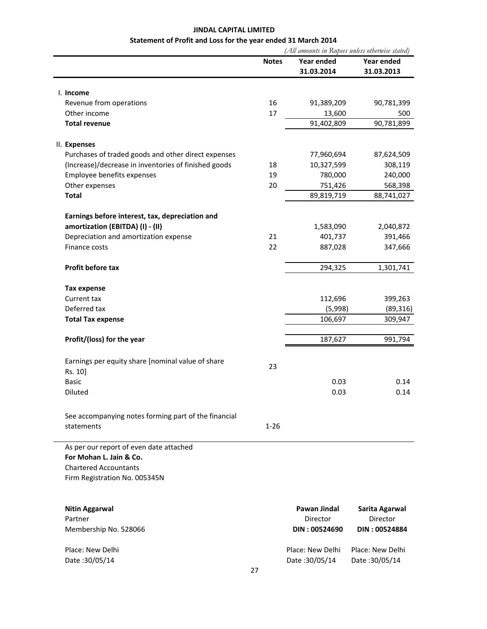#### **JINDAL CAPITAL LIMITED Statement of Profit and Loss for the year ended 31 March 2014**

|                                                              | (All amounts in Rupees unless otherwise stated) |                          |                          |  |
|--------------------------------------------------------------|-------------------------------------------------|--------------------------|--------------------------|--|
|                                                              | <b>Notes</b>                                    | Year ended<br>31.03.2014 | Year ended<br>31.03.2013 |  |
| I. Income                                                    |                                                 |                          |                          |  |
|                                                              |                                                 |                          |                          |  |
| Revenue from operations                                      | 16                                              | 91,389,209               | 90,781,399               |  |
| Other income<br><b>Total revenue</b>                         | 17                                              | 13,600<br>91,402,809     | 500<br>90,781,899        |  |
|                                                              |                                                 |                          |                          |  |
| II. Expenses                                                 |                                                 |                          |                          |  |
| Purchases of traded goods and other direct expenses          |                                                 | 77,960,694               | 87,624,509               |  |
| (Increase)/decrease in inventories of finished goods         | 18                                              | 10,327,599               | 308,119                  |  |
| Employee benefits expenses                                   | 19                                              | 780,000                  | 240,000                  |  |
| Other expenses                                               | 20                                              | 751,426                  | 568,398                  |  |
| <b>Total</b>                                                 |                                                 | 89,819,719               | 88,741,027               |  |
| Earnings before interest, tax, depreciation and              |                                                 |                          |                          |  |
| amortization (EBITDA) (I) - (II)                             |                                                 | 1,583,090                | 2,040,872                |  |
| Depreciation and amortization expense                        | 21                                              | 401,737                  | 391,466                  |  |
| Finance costs                                                | 22                                              | 887,028                  | 347,666                  |  |
| Profit before tax                                            |                                                 | 294,325                  | 1,301,741                |  |
| <b>Tax expense</b>                                           |                                                 |                          |                          |  |
| Current tax                                                  |                                                 | 112,696                  | 399,263                  |  |
| Deferred tax                                                 |                                                 | (5,998)                  | (89, 316)                |  |
| <b>Total Tax expense</b>                                     |                                                 | 106,697                  | 309,947                  |  |
| Profit/(loss) for the year                                   |                                                 | 187,627                  | 991,794                  |  |
| Earnings per equity share [nominal value of share<br>Rs. 10] | 23                                              |                          |                          |  |
| <b>Basic</b>                                                 |                                                 | 0.03                     | 0.14                     |  |
| <b>Diluted</b>                                               |                                                 | 0.03                     | 0.14                     |  |
| See accompanying notes forming part of the financial         |                                                 |                          |                          |  |
| statements                                                   | $1 - 26$                                        |                          |                          |  |
| As per our report of even date attached                      |                                                 |                          |                          |  |
| For Mohan L. Jain & Co.                                      |                                                 |                          |                          |  |
| <b>Chartered Accountants</b>                                 |                                                 |                          |                          |  |
| Firm Registration No. 005345N                                |                                                 |                          |                          |  |
|                                                              |                                                 |                          |                          |  |
| <b>Nitin Aggarwal</b>                                        |                                                 | Pawan Jindal             | Sarita Agarwal           |  |
| Partner                                                      |                                                 | Director                 | Director                 |  |
| Membership No. 528066                                        |                                                 | DIN: 00524690            | DIN: 00524884            |  |

Place: New Delhi Place: New Delhi Place: New Delhi Place: New Delhi Date :30/05/14 Date :30/05/14 Date :30/05/14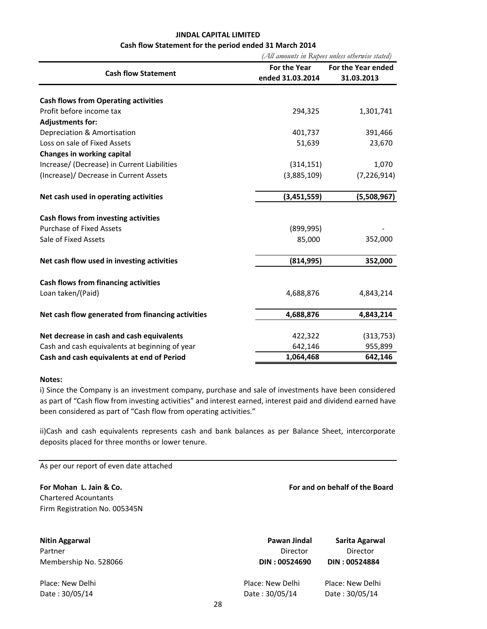#### **JINDAL CAPITAL LIMITED Cash flow Statement for the period ended 31 March 2014**

|                                                   |                                         | (All amounts in Rupees unless otherwise stated) |
|---------------------------------------------------|-----------------------------------------|-------------------------------------------------|
| <b>Cash flow Statement</b>                        | <b>For the Year</b><br>ended 31.03.2014 | For the Year ended<br>31.03.2013                |
| <b>Cash flows from Operating activities</b>       |                                         |                                                 |
| Profit before income tax                          | 294,325                                 | 1,301,741                                       |
| <b>Adjustments for:</b>                           |                                         |                                                 |
| Depreciation & Amortisation                       | 401,737                                 | 391,466                                         |
| Loss on sale of Fixed Assets                      | 51,639                                  | 23,670                                          |
| Changes in working capital                        |                                         |                                                 |
| Increase/ (Decrease) in Current Liabilities       | (314, 151)                              | 1,070                                           |
| (Increase)/ Decrease in Current Assets            | (3,885,109)                             | (7, 226, 914)                                   |
| Net cash used in operating activities             | (3,451,559)                             | (5,508,967)                                     |
| Cash flows from investing activities              |                                         |                                                 |
| <b>Purchase of Fixed Assets</b>                   | (899, 995)                              |                                                 |
| Sale of Fixed Assets                              | 85,000                                  | 352,000                                         |
| Net cash flow used in investing activities        | (814, 995)                              | 352,000                                         |
| <b>Cash flows from financing activities</b>       |                                         |                                                 |
| Loan taken/(Paid)                                 | 4,688,876                               | 4,843,214                                       |
| Net cash flow generated from financing activities | 4,688,876                               | 4,843,214                                       |
| Net decrease in cash and cash equivalents         | 422,322                                 | (313, 753)                                      |
| Cash and cash equivalents at beginning of year    | 642,146                                 | 955,899                                         |
| Cash and cash equivalents at end of Period        | 1,064,468                               | 642,146                                         |

#### **Notes:**

i) Since the Company is an investment company, purchase and sale of investments have been considered as part of "Cash flow from investing activities" and interest earned, interest paid and dividend earned have been considered as part of "Cash flow from operating activities."

ii)Cash and cash equivalents represents cash and bank balances as per Balance Sheet, intercorporate deposits placed for three months or lower tenure.

As per our report of even date attached

Chartered Acountants Firm Registration No. 005345N

**Nitin Aggarwal Pawan Jindal Sarita Agarwal** Partner Director Director Director Director Director Director Membership No. 528066 **DIN : 00524690 DIN : 00524884**

Place: New Delhi Place: New Delhi Place: New Delhi Place: New Delhi Place: New Delhi

#### **For Mohan L. Jain & Co. For and on behalf of the Board**

Date : 30/05/14 Date : 30/05/14 Date : 30/05/14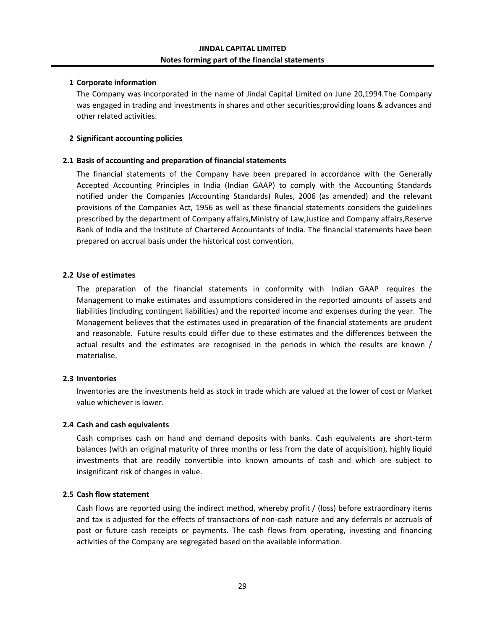#### **JINDAL CAPITAL LIMITED Notes forming part of the financial statements**

#### **1 Corporate information**

The Company was incorporated in the name of Jindal Capital Limited on June 20,1994.The Company was engaged in trading and investments in shares and other securities;providing loans & advances and other related activities.

#### **2 Significant accounting policies**

#### **2.1 Basis of accounting and preparation of financial statements**

The financial statements of the Company have been prepared in accordance with the Generally Accepted Accounting Principles in India (Indian GAAP) to comply with the Accounting Standards notified under the Companies (Accounting Standards) Rules, 2006 (as amended) and the relevant provisions of the Companies Act, 1956 as well as these financial statements considers the guidelines prescribed by the department of Company affairs,Ministry of Law,Justice and Company affairs,Reserve Bank of India and the Institute of Chartered Accountants of India. The financial statements have been prepared on accrual basis under the historical cost convention.

#### **2.2 Use of estimates**

The preparation of the financial statements in conformity with Indian GAAP requires the Management to make estimates and assumptions considered in the reported amounts of assets and liabilities (including contingent liabilities) and the reported income and expenses during the year. The Management believes that the estimates used in preparation of the financial statements are prudent and reasonable. Future results could differ due to these estimates and the differences between the actual results and the estimates are recognised in the periods in which the results are known / materialise.

#### **2.3 Inventories**

Inventories are the investments held as stock in trade which are valued at the lower of cost or Market value whichever is lower.

#### **2.4 Cash and cash equivalents**

Cash comprises cash on hand and demand deposits with banks. Cash equivalents are short‐term balances (with an original maturity of three months or less from the date of acquisition), highly liquid investments that are readily convertible into known amounts of cash and which are subject to insignificant risk of changes in value.

#### **2.5 Cash flow statement**

Cash flows are reported using the indirect method, whereby profit / (loss) before extraordinary items and tax is adjusted for the effects of transactions of non‐cash nature and any deferrals or accruals of past or future cash receipts or payments. The cash flows from operating, investing and financing activities of the Company are segregated based on the available information.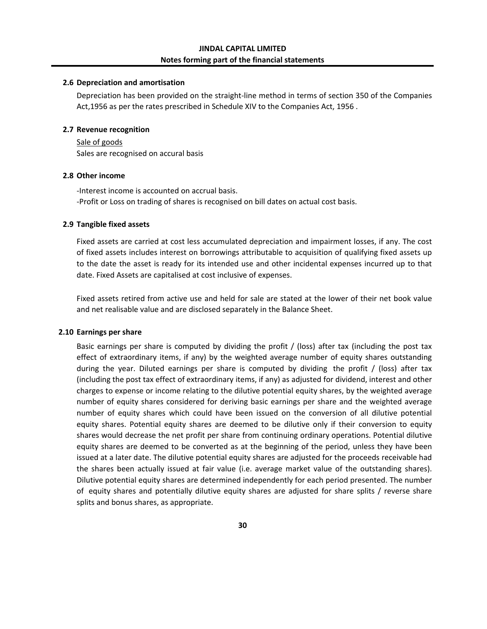#### **2.6 Depreciation and amortisation**

Depreciation has been provided on the straight‐line method in terms of section 350 of the Companies Act,1956 as per the rates prescribed in Schedule XIV to the Companies Act, 1956 .

#### **2.7 Revenue recognition**

Sale of goods Sales are recognised on accural basis

#### **2.8 Other income**

‐Interest income is accounted on accrual basis. ‐Profit or Loss on trading of shares is recognised on bill dates on actual cost basis.

#### **2.9 Tangible fixed assets**

Fixed assets are carried at cost less accumulated depreciation and impairment losses, if any. The cost of fixed assets includes interest on borrowings attributable to acquisition of qualifying fixed assets up to the date the asset is ready for its intended use and other incidental expenses incurred up to that date. Fixed Assets are capitalised at cost inclusive of expenses.

Fixed assets retired from active use and held for sale are stated at the lower of their net book value and net realisable value and are disclosed separately in the Balance Sheet.

#### **2.10 Earnings per share**

Basic earnings per share is computed by dividing the profit / (loss) after tax (including the post tax effect of extraordinary items, if any) by the weighted average number of equity shares outstanding during the year. Diluted earnings per share is computed by dividing the profit / (loss) after tax (including the post tax effect of extraordinary items, if any) as adjusted for dividend, interest and other charges to expense or income relating to the dilutive potential equity shares, by the weighted average number of equity shares considered for deriving basic earnings per share and the weighted average number of equity shares which could have been issued on the conversion of all dilutive potential equity shares. Potential equity shares are deemed to be dilutive only if their conversion to equity shares would decrease the net profit per share from continuing ordinary operations. Potential dilutive equity shares are deemed to be converted as at the beginning of the period, unless they have been issued at a later date. The dilutive potential equity shares are adjusted for the proceeds receivable had the shares been actually issued at fair value (i.e. average market value of the outstanding shares). Dilutive potential equity shares are determined independently for each period presented. The number of equity shares and potentially dilutive equity shares are adjusted for share splits / reverse share splits and bonus shares, as appropriate.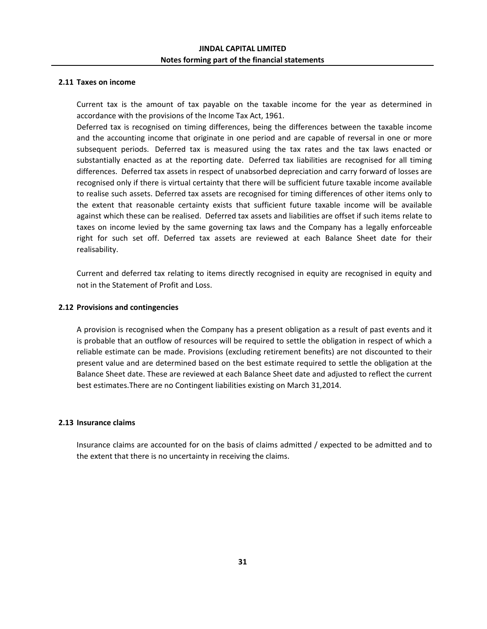#### **2.11 Taxes on income**

Current tax is the amount of tax payable on the taxable income for the year as determined in accordance with the provisions of the Income Tax Act, 1961.

Deferred tax is recognised on timing differences, being the differences between the taxable income and the accounting income that originate in one period and are capable of reversal in one or more subsequent periods. Deferred tax is measured using the tax rates and the tax laws enacted or substantially enacted as at the reporting date. Deferred tax liabilities are recognised for all timing differences. Deferred tax assets in respect of unabsorbed depreciation and carry forward of losses are recognised only if there is virtual certainty that there will be sufficient future taxable income available to realise such assets. Deferred tax assets are recognised for timing differences of other items only to the extent that reasonable certainty exists that sufficient future taxable income will be available against which these can be realised. Deferred tax assets and liabilities are offset if such items relate to taxes on income levied by the same governing tax laws and the Company has a legally enforceable right for such set off. Deferred tax assets are reviewed at each Balance Sheet date for their realisability.

Current and deferred tax relating to items directly recognised in equity are recognised in equity and not in the Statement of Profit and Loss.

#### **2.12 Provisions and contingencies**

A provision is recognised when the Company has a present obligation as a result of past events and it is probable that an outflow of resources will be required to settle the obligation in respect of which a reliable estimate can be made. Provisions (excluding retirement benefits) are not discounted to their present value and are determined based on the best estimate required to settle the obligation at the Balance Sheet date. These are reviewed at each Balance Sheet date and adjusted to reflect the current best estimates.There are no Contingent liabilities existing on March 31,2014.

#### **2.13 Insurance claims**

Insurance claims are accounted for on the basis of claims admitted / expected to be admitted and to the extent that there is no uncertainty in receiving the claims.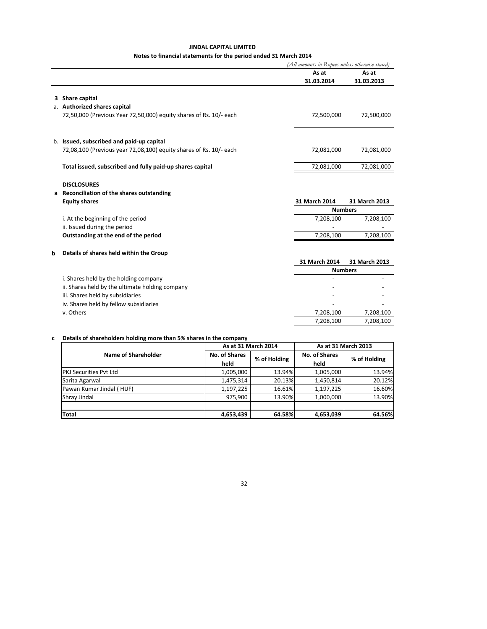#### **Notes to financial statements for the period ended 31 March 2014**

|   |                                                                    | (All amounts in Rupees unless otherwise stated) |               |  |
|---|--------------------------------------------------------------------|-------------------------------------------------|---------------|--|
|   |                                                                    | As at                                           | As at         |  |
|   |                                                                    | 31.03.2014                                      | 31.03.2013    |  |
|   |                                                                    |                                                 |               |  |
|   | 3 Share capital                                                    |                                                 |               |  |
|   | a. Authorized shares capital                                       |                                                 |               |  |
|   | 72,50,000 (Previous Year 72,50,000) equity shares of Rs. 10/- each | 72,500,000                                      | 72,500,000    |  |
|   |                                                                    |                                                 |               |  |
|   | b. Issued, subscribed and paid-up capital                          |                                                 |               |  |
|   | 72,08,100 (Previous year 72,08,100) equity shares of Rs. 10/- each | 72,081,000                                      | 72,081,000    |  |
|   | Total issued, subscribed and fully paid-up shares capital          | 72,081,000                                      | 72,081,000    |  |
|   | <b>DISCLOSURES</b>                                                 |                                                 |               |  |
|   | a Reconciliation of the shares outstanding                         |                                                 |               |  |
|   | <b>Equity shares</b>                                               | 31 March 2014                                   | 31 March 2013 |  |
|   |                                                                    | <b>Numbers</b>                                  |               |  |
|   | i. At the beginning of the period                                  | 7,208,100                                       | 7,208,100     |  |
|   | ii. Issued during the period                                       |                                                 |               |  |
|   | Outstanding at the end of the period                               | 7,208,100                                       | 7,208,100     |  |
| b | Details of shares held within the Group                            |                                                 |               |  |
|   |                                                                    | 31 March 2014                                   | 31 March 2013 |  |
|   |                                                                    | <b>Numbers</b>                                  |               |  |
|   | i. Shares held by the holding company                              |                                                 |               |  |
|   | ii. Shares held by the ultimate holding company                    |                                                 |               |  |
|   | iii. Shares held by subsidiaries                                   |                                                 |               |  |
|   |                                                                    |                                                 |               |  |
|   | iv. Shares held by fellow subsidiaries                             |                                                 |               |  |
|   | v. Others                                                          | 7,208,100                                       | 7,208,100     |  |
|   |                                                                    | 7,208,100                                       | 7,208,100     |  |

#### **c Details of shareholders holding more than 5% shares in the company**

|                               | As at 31 March 2014  |              | As at 31 March 2013  |              |  |
|-------------------------------|----------------------|--------------|----------------------|--------------|--|
| Name of Shareholder           | <b>No. of Shares</b> | % of Holding | <b>No. of Shares</b> | % of Holding |  |
|                               | held                 |              | held                 |              |  |
| <b>PKJ Securities Pyt Ltd</b> | 1,005,000            | 13.94%       | 1,005,000            | 13.94%       |  |
| Sarita Agarwal                | 1,475,314            | 20.13%       | 1,450,814            | 20.12%       |  |
| Pawan Kumar Jindal (HUF)      | 1,197,225            | 16.61%       | 1,197,225            | 16.60%       |  |
| Shray Jindal                  | 975.900              | 13.90%       | 1,000,000            | 13.90%       |  |
|                               |                      |              |                      |              |  |
| <b>Total</b>                  | 4,653,439            | 64.58%       | 4,653,039            | 64.56%       |  |

32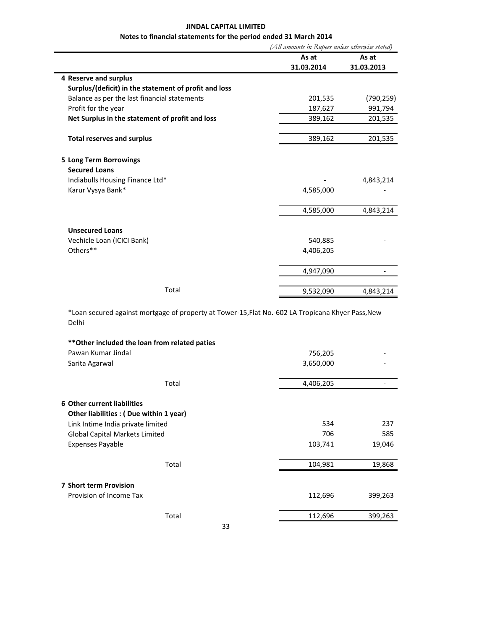#### **JINDAL CAPITAL LIMITED Notes to financial statements for the period ended 31 March 2014**

÷.

 $\overline{\phantom{0}}$ 

|                                                       | (All amounts in Rupees unless otherwise stated) |            |  |
|-------------------------------------------------------|-------------------------------------------------|------------|--|
|                                                       | As at                                           | As at      |  |
|                                                       | 31.03.2014                                      | 31.03.2013 |  |
| 4 Reserve and surplus                                 |                                                 |            |  |
| Surplus/(deficit) in the statement of profit and loss |                                                 |            |  |
| Balance as per the last financial statements          | 201,535                                         | (790, 259) |  |
| Profit for the year                                   | 187,627                                         | 991,794    |  |
| Net Surplus in the statement of profit and loss       | 389,162                                         | 201,535    |  |
| <b>Total reserves and surplus</b>                     | 389,162                                         | 201,535    |  |
|                                                       |                                                 |            |  |
| 5 Long Term Borrowings                                |                                                 |            |  |
| <b>Secured Loans</b>                                  |                                                 |            |  |
| Indiabulls Housing Finance Ltd*                       |                                                 | 4,843,214  |  |
| Karur Vysya Bank*                                     | 4,585,000                                       |            |  |
|                                                       | 4,585,000                                       | 4,843,214  |  |
|                                                       |                                                 |            |  |
| <b>Unsecured Loans</b>                                |                                                 |            |  |
| Vechicle Loan (ICICI Bank)                            | 540,885                                         |            |  |
| Others**                                              | 4,406,205                                       |            |  |
|                                                       | 4,947,090                                       |            |  |
|                                                       |                                                 |            |  |
| Total                                                 | 9,532,090                                       | 4,843,214  |  |

\*Loan secured against mortgage of property at Tower‐15,Flat No.‐602 LA Tropicana Khyer Pass,New Delhi

| **Other included the loan from related paties |           |         |
|-----------------------------------------------|-----------|---------|
| Pawan Kumar Jindal                            | 756,205   |         |
| Sarita Agarwal                                | 3,650,000 |         |
| Total                                         | 4,406,205 |         |
| 6 Other current liabilities                   |           |         |
| Other liabilities : (Due within 1 year)       |           |         |
| Link Intime India private limited             | 534       | 237     |
| <b>Global Capital Markets Limited</b>         | 706       | 585     |
| <b>Expenses Payable</b>                       | 103,741   | 19,046  |
| Total                                         | 104,981   | 19,868  |
| <b>7 Short term Provision</b>                 |           |         |
| Provision of Income Tax                       | 112,696   | 399,263 |
| Total                                         | 112,696   | 399,263 |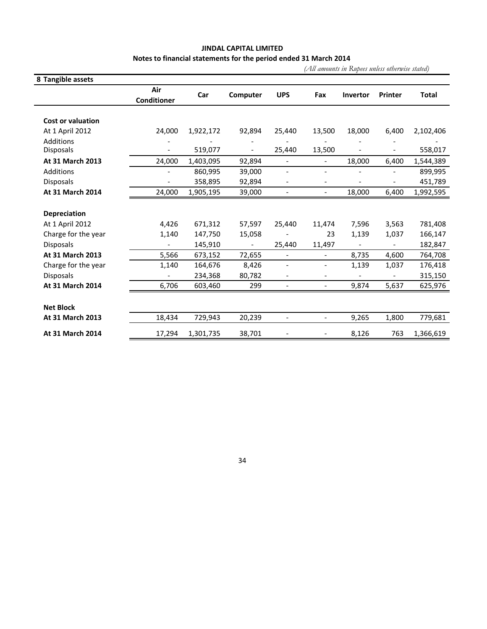# **Notes to financial statements for the period ended 31 March 2014**

*(All amounts in Rupees unless otherwise stated)*

| 8 Tangible assets        |                           |           |                          |                          |                          |                          |                          |              |
|--------------------------|---------------------------|-----------|--------------------------|--------------------------|--------------------------|--------------------------|--------------------------|--------------|
|                          | Air<br><b>Conditioner</b> | Car       | Computer                 | <b>UPS</b>               | Fax                      | Invertor                 | Printer                  | <b>Total</b> |
|                          |                           |           |                          |                          |                          |                          |                          |              |
| <b>Cost or valuation</b> |                           |           |                          |                          |                          |                          |                          |              |
| At 1 April 2012          | 24,000                    | 1,922,172 | 92,894                   | 25,440                   | 13,500                   | 18,000                   | 6,400                    | 2,102,406    |
| Additions                |                           |           |                          |                          |                          |                          |                          |              |
| Disposals                | $\overline{\phantom{a}}$  | 519,077   | $\overline{\phantom{a}}$ | 25,440                   | 13,500                   | $\overline{\phantom{0}}$ | $\overline{\phantom{a}}$ | 558,017      |
| At 31 March 2013         | 24,000                    | 1,403,095 | 92,894                   | $\overline{\phantom{0}}$ | $\overline{\phantom{a}}$ | 18,000                   | 6,400                    | 1,544,389    |
| Additions                |                           | 860,995   | 39,000                   |                          |                          |                          |                          | 899,995      |
| <b>Disposals</b>         |                           | 358,895   | 92,894                   | $\overline{\phantom{a}}$ |                          |                          |                          | 451,789      |
| At 31 March 2014         | 24,000                    | 1,905,195 | 39,000                   | $\overline{\phantom{a}}$ | $\overline{\phantom{a}}$ | 18,000                   | 6,400                    | 1,992,595    |
|                          |                           |           |                          |                          |                          |                          |                          |              |
| Depreciation             |                           |           |                          |                          |                          |                          |                          |              |
| At 1 April 2012          | 4,426                     | 671,312   | 57,597                   | 25,440                   | 11,474                   | 7,596                    | 3,563                    | 781,408      |
| Charge for the year      | 1,140                     | 147,750   | 15,058                   |                          | 23                       | 1,139                    | 1,037                    | 166,147      |
| <b>Disposals</b>         |                           | 145,910   | $\overline{\phantom{a}}$ | 25,440                   | 11,497                   |                          |                          | 182,847      |
| At 31 March 2013         | 5,566                     | 673,152   | 72,655                   | $\overline{\phantom{a}}$ | $\overline{\phantom{a}}$ | 8,735                    | 4,600                    | 764,708      |
| Charge for the year      | 1,140                     | 164,676   | 8,426                    | $\overline{a}$           | $\overline{\phantom{a}}$ | 1,139                    | 1,037                    | 176,418      |
| <b>Disposals</b>         |                           | 234,368   | 80,782                   |                          |                          |                          |                          | 315,150      |
| At 31 March 2014         | 6,706                     | 603,460   | 299                      | $\overline{\phantom{a}}$ | $\overline{\phantom{a}}$ | 9,874                    | 5,637                    | 625,976      |
|                          |                           |           |                          |                          |                          |                          |                          |              |
| <b>Net Block</b>         |                           |           |                          |                          |                          |                          |                          |              |
| At 31 March 2013         | 18,434                    | 729,943   | 20,239                   | $\overline{\phantom{a}}$ | $\overline{\phantom{a}}$ | 9,265                    | 1,800                    | 779,681      |
| At 31 March 2014         | 17,294                    | 1,301,735 | 38,701                   |                          |                          | 8,126                    | 763                      | 1,366,619    |

34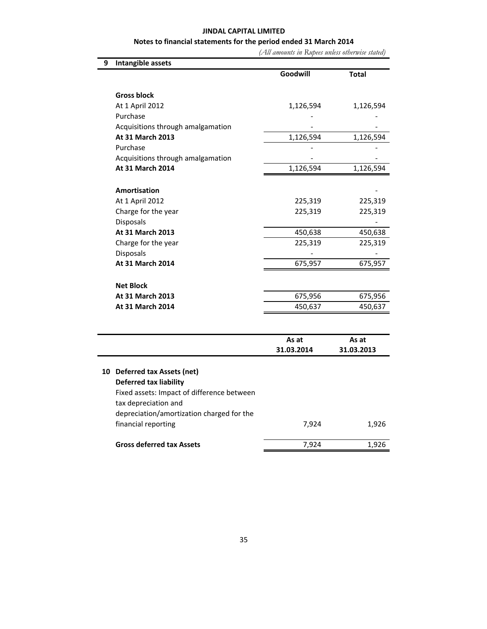# **Notes to financial statements for the period ended 31 March 2014**

*(All amounts in Rupees unless otherwise stated)*

| 9 | Intangible assets                                                 |            |              |
|---|-------------------------------------------------------------------|------------|--------------|
|   |                                                                   | Goodwill   | <b>Total</b> |
|   | <b>Gross block</b>                                                |            |              |
|   | At 1 April 2012                                                   | 1,126,594  | 1,126,594    |
|   | Purchase                                                          |            |              |
|   | Acquisitions through amalgamation                                 |            |              |
|   | At 31 March 2013                                                  | 1,126,594  | 1,126,594    |
|   | Purchase                                                          |            |              |
|   | Acquisitions through amalgamation                                 |            |              |
|   | At 31 March 2014                                                  | 1,126,594  | 1,126,594    |
|   |                                                                   |            |              |
|   | Amortisation                                                      |            |              |
|   | At 1 April 2012                                                   | 225,319    | 225,319      |
|   | Charge for the year                                               | 225,319    | 225,319      |
|   | <b>Disposals</b><br>At 31 March 2013                              |            |              |
|   |                                                                   | 450,638    | 450,638      |
|   | Charge for the year<br><b>Disposals</b>                           | 225,319    | 225,319      |
|   | At 31 March 2014                                                  | 675,957    | 675,957      |
|   |                                                                   |            |              |
|   | <b>Net Block</b>                                                  |            |              |
|   | At 31 March 2013                                                  | 675,956    | 675,956      |
|   | At 31 March 2014                                                  | 450,637    | 450,637      |
|   |                                                                   |            |              |
|   |                                                                   | As at      | As at        |
|   |                                                                   | 31.03.2014 | 31.03.2013   |
|   | 10 Deferred tax Assets (net)                                      |            |              |
|   | <b>Deferred tax liability</b>                                     |            |              |
|   | Fixed assets: Impact of difference between                        |            |              |
|   |                                                                   |            |              |
|   | tax depreciation and<br>depreciation/amortization charged for the |            |              |
|   | financial reporting                                               | 7,924      | 1,926        |
|   |                                                                   |            |              |
|   | <b>Gross deferred tax Assets</b>                                  | 7,924      | 1,926        |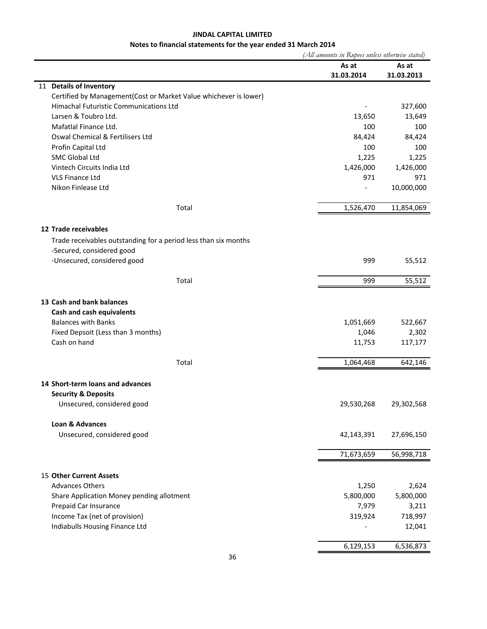#### **Notes to financial statements for the year ended 31 March 2014**

|                                                                  | (All amounts in Rupees unless otherwise stated) |            |
|------------------------------------------------------------------|-------------------------------------------------|------------|
|                                                                  | As at                                           | As at      |
|                                                                  | 31.03.2014                                      | 31.03.2013 |
| 11 Details of Inventory                                          |                                                 |            |
| Certified by Management(Cost or Market Value whichever is lower) |                                                 |            |
| Himachal Futuristic Communications Ltd                           |                                                 | 327,600    |
| Larsen & Toubro Ltd.                                             | 13,650                                          | 13,649     |
| Mafatlal Finance Ltd.                                            | 100                                             | 100        |
| Oswal Chemical & Fertilisers Ltd                                 | 84,424                                          | 84,424     |
| Profin Capital Ltd                                               | 100                                             | 100        |
| SMC Global Ltd                                                   | 1,225                                           | 1,225      |
| Vintech Circuits India Ltd                                       | 1,426,000                                       | 1,426,000  |
| <b>VLS Finance Ltd</b>                                           | 971                                             | 971        |
| Nikon Finlease Ltd                                               | $\overline{\phantom{0}}$                        | 10,000,000 |
| Total                                                            | 1,526,470                                       | 11,854,069 |
| 12 Trade receivables                                             |                                                 |            |
| Trade receivables outstanding for a period less than six months  |                                                 |            |
| -Secured, considered good                                        |                                                 |            |
| -Unsecured, considered good                                      | 999                                             | 55,512     |
|                                                                  |                                                 |            |
| Total                                                            | 999                                             | 55,512     |
|                                                                  |                                                 |            |
| 13 Cash and bank balances                                        |                                                 |            |
| <b>Cash and cash equivalents</b>                                 |                                                 |            |
| <b>Balances with Banks</b>                                       | 1,051,669                                       | 522,667    |
| Fixed Depsoit (Less than 3 months)                               | 1,046                                           | 2,302      |
| Cash on hand                                                     | 11,753                                          | 117,177    |
| Total                                                            | 1,064,468                                       | 642,146    |
|                                                                  |                                                 |            |
| 14 Short-term loans and advances                                 |                                                 |            |
| <b>Security &amp; Deposits</b>                                   |                                                 |            |
| Unsecured, considered good                                       | 29,530,268                                      | 29,302,568 |
|                                                                  |                                                 |            |
| Loan & Advances                                                  |                                                 |            |
| Unsecured, considered good                                       | 42,143,391                                      | 27,696,150 |
|                                                                  | 71,673,659                                      | 56,998,718 |
|                                                                  |                                                 |            |
| <b>15 Other Current Assets</b>                                   |                                                 |            |
| <b>Advances Others</b>                                           | 1,250                                           | 2,624      |
| Share Application Money pending allotment                        | 5,800,000                                       | 5,800,000  |
| Prepaid Car Insurance                                            | 7,979                                           | 3,211      |
| Income Tax (net of provision)                                    | 319,924                                         | 718,997    |
| Indiabulls Housing Finance Ltd                                   |                                                 | 12,041     |
|                                                                  | 6,129,153                                       | 6,536,873  |

Ξ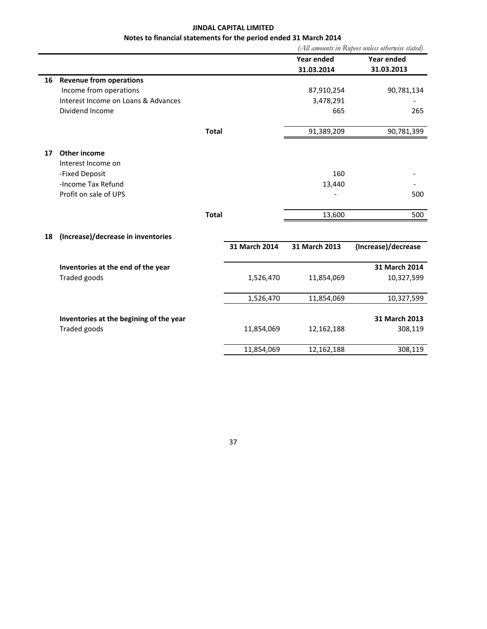#### **JINDAL CAPITAL LIMITED Notes to financial statements for the period ended 31 March 2014**

|    |                                         |              |               | (All amounts in Rupees unless otherwise stated) |                     |  |
|----|-----------------------------------------|--------------|---------------|-------------------------------------------------|---------------------|--|
|    |                                         |              |               | Year ended                                      | Year ended          |  |
|    |                                         |              |               | 31.03.2014                                      | 31.03.2013          |  |
| 16 | <b>Revenue from operations</b>          |              |               |                                                 |                     |  |
|    | Income from operations                  |              |               | 87,910,254                                      | 90,781,134          |  |
|    | Interest Income on Loans & Advances     |              |               | 3,478,291                                       |                     |  |
|    | Dividend Income                         |              |               | 665                                             | 265                 |  |
|    |                                         | <b>Total</b> |               | 91,389,209                                      | 90,781,399          |  |
| 17 | Other income                            |              |               |                                                 |                     |  |
|    | Interest Income on                      |              |               |                                                 |                     |  |
|    | -Fixed Deposit                          |              |               | 160                                             |                     |  |
|    | -Income Tax Refund                      |              |               | 13,440                                          |                     |  |
|    | Profit on sale of UPS                   |              |               |                                                 | 500                 |  |
|    |                                         | <b>Total</b> |               | 13,600                                          | 500                 |  |
| 18 | (Increase)/decrease in inventories      |              |               |                                                 |                     |  |
|    |                                         |              | 31 March 2014 | 31 March 2013                                   | (Increase)/decrease |  |
|    | Inventories at the end of the year      |              |               |                                                 | 31 March 2014       |  |
|    | Traded goods                            |              | 1,526,470     | 11,854,069                                      | 10,327,599          |  |
|    |                                         |              | 1,526,470     | 11,854,069                                      | 10,327,599          |  |
|    | Inventories at the begining of the year |              |               |                                                 | 31 March 2013       |  |
|    | Traded goods                            |              | 11,854,069    | 12,162,188                                      | 308,119             |  |
|    |                                         |              | 11,854,069    | 12,162,188                                      | 308,119             |  |

#### 37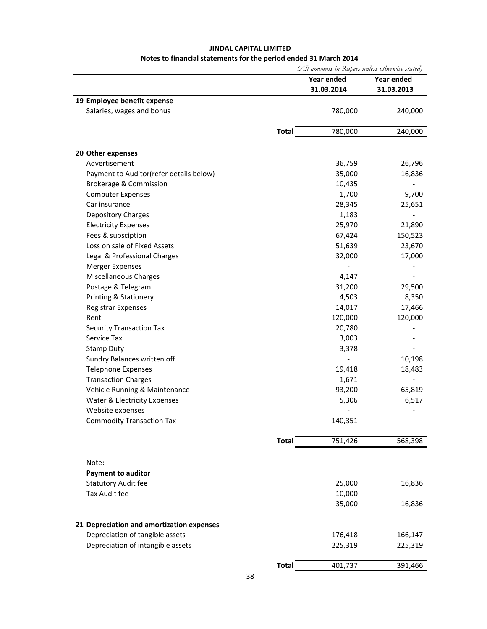# **Notes to financial statements for the period ended 31 March 2014**

|                                           |              | (All amounts in Rupees unless otherwise stated) |            |
|-------------------------------------------|--------------|-------------------------------------------------|------------|
|                                           |              | Year ended                                      | Year ended |
|                                           |              | 31.03.2014                                      | 31.03.2013 |
| 19 Employee benefit expense               |              |                                                 |            |
| Salaries, wages and bonus                 |              | 780,000                                         | 240,000    |
|                                           |              |                                                 |            |
|                                           | <b>Total</b> | 780,000                                         | 240,000    |
| 20 Other expenses                         |              |                                                 |            |
| Advertisement                             |              | 36,759                                          | 26,796     |
| Payment to Auditor(refer details below)   |              | 35,000                                          | 16,836     |
| Brokerage & Commission                    |              | 10,435                                          |            |
| <b>Computer Expenses</b>                  |              | 1,700                                           | 9,700      |
| Car insurance                             |              | 28,345                                          | 25,651     |
| Depository Charges                        |              | 1,183                                           |            |
| <b>Electricity Expenses</b>               |              | 25,970                                          | 21,890     |
| Fees & subsciption                        |              | 67,424                                          | 150,523    |
| Loss on sale of Fixed Assets              |              | 51,639                                          | 23,670     |
| Legal & Professional Charges              |              | 32,000                                          | 17,000     |
| Merger Expenses                           |              |                                                 |            |
| Miscellaneous Charges                     |              | 4,147                                           |            |
| Postage & Telegram                        |              | 31,200                                          | 29,500     |
| Printing & Stationery                     |              | 4,503                                           | 8,350      |
| <b>Registrar Expenses</b>                 |              | 14,017                                          | 17,466     |
| Rent                                      |              | 120,000                                         | 120,000    |
| <b>Security Transaction Tax</b>           |              | 20,780                                          |            |
| Service Tax                               |              | 3,003                                           |            |
| <b>Stamp Duty</b>                         |              | 3,378                                           |            |
| Sundry Balances written off               |              |                                                 | 10,198     |
| <b>Telephone Expenses</b>                 |              | 19,418                                          | 18,483     |
| <b>Transaction Charges</b>                |              | 1,671                                           |            |
| Vehicle Running & Maintenance             |              | 93,200                                          | 65,819     |
| Water & Electricity Expenses              |              | 5,306                                           | 6,517      |
| Website expenses                          |              |                                                 |            |
| <b>Commodity Transaction Tax</b>          |              | 140,351                                         |            |
|                                           | <b>Total</b> | 751,426                                         | 568,398    |
|                                           |              |                                                 |            |
| Note:-                                    |              |                                                 |            |
| <b>Payment to auditor</b>                 |              |                                                 |            |
| <b>Statutory Audit fee</b>                |              | 25,000                                          | 16,836     |
| Tax Audit fee                             |              | 10,000                                          |            |
|                                           |              | 35,000                                          | 16,836     |
| 21 Depreciation and amortization expenses |              |                                                 |            |
| Depreciation of tangible assets           |              | 176,418                                         | 166,147    |
| Depreciation of intangible assets         |              | 225,319                                         | 225,319    |
|                                           | <b>Total</b> | 401,737                                         | 391,466    |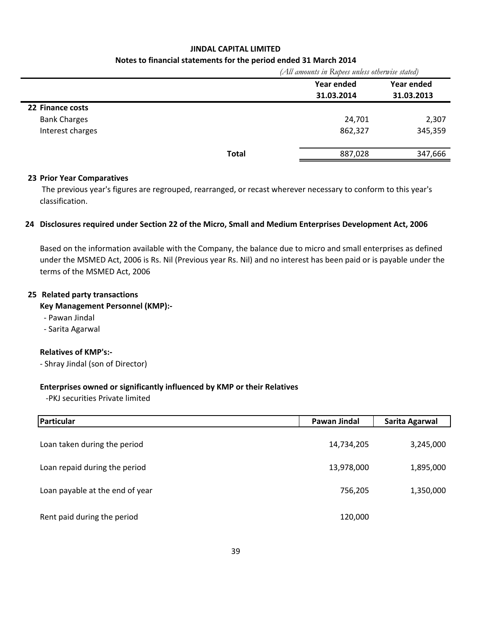#### **Notes to financial statements for the period ended 31 March 2014**

|                     |              |            | (All amounts in Rupees unless otherwise stated) |  |  |
|---------------------|--------------|------------|-------------------------------------------------|--|--|
|                     |              | Year ended | Year ended                                      |  |  |
|                     |              | 31.03.2014 | 31.03.2013                                      |  |  |
| 22 Finance costs    |              |            |                                                 |  |  |
| <b>Bank Charges</b> |              | 24,701     | 2,307                                           |  |  |
| Interest charges    |              | 862,327    | 345,359                                         |  |  |
|                     |              |            |                                                 |  |  |
|                     | <b>Total</b> | 887,028    | 347,666                                         |  |  |

#### **23 Prior Year Comparatives**

The previous year's figures are regrouped, rearranged, or recast wherever necessary to conform to this year's classification.

#### **24 Disclosures required under Section 22 of the Micro, Small and Medium Enterprises Development Act, 2006**

Based on the information available with the Company, the balance due to micro and small enterprises as defined under the MSMED Act, 2006 is Rs. Nil (Previous year Rs. Nil) and no interest has been paid or is payable under the terms of the MSMED Act, 2006

#### **25 Related party transactions**

#### **Key Management Personnel (KMP):‐**

- ‐ Pawan Jindal
- ‐ Sarita Agarwal

#### **Relatives of KMP's:‐**

‐ Shray Jindal (son of Director)

#### **Enterprises owned or significantly influenced by KMP or their Relatives**

‐PKJ securities Private limited

| Particular                      | Pawan Jindal | Sarita Agarwal |
|---------------------------------|--------------|----------------|
| Loan taken during the period    | 14,734,205   | 3,245,000      |
| Loan repaid during the period   | 13,978,000   | 1,895,000      |
| Loan payable at the end of year | 756,205      | 1,350,000      |
| Rent paid during the period     | 120,000      |                |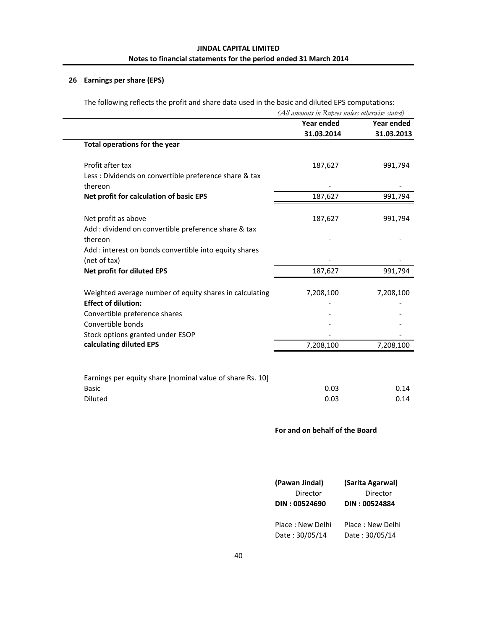#### **26 Earnings per share (EPS)**

The following reflects the profit and share data used in the basic and diluted EPS computations:

|                                                           | (All amounts in Rupees unless otherwise stated) |            |  |
|-----------------------------------------------------------|-------------------------------------------------|------------|--|
|                                                           | Year ended                                      | Year ended |  |
|                                                           | 31.03.2014                                      | 31.03.2013 |  |
| Total operations for the year                             |                                                 |            |  |
| Profit after tax                                          | 187,627                                         | 991,794    |  |
| Less : Dividends on convertible preference share & tax    |                                                 |            |  |
| thereon                                                   |                                                 |            |  |
| Net profit for calculation of basic EPS                   | 187,627                                         | 991,794    |  |
| Net profit as above                                       | 187,627                                         | 991,794    |  |
| Add : dividend on convertible preference share & tax      |                                                 |            |  |
| thereon                                                   |                                                 |            |  |
| Add : interest on bonds convertible into equity shares    |                                                 |            |  |
| (net of tax)                                              |                                                 |            |  |
| Net profit for diluted EPS                                | 187,627                                         | 991,794    |  |
| Weighted average number of equity shares in calculating   | 7,208,100                                       | 7,208,100  |  |
| <b>Effect of dilution:</b>                                |                                                 |            |  |
| Convertible preference shares                             |                                                 |            |  |
| Convertible bonds                                         |                                                 |            |  |
| Stock options granted under ESOP                          |                                                 |            |  |
| calculating diluted EPS                                   | 7,208,100                                       | 7,208,100  |  |
|                                                           |                                                 |            |  |
| Earnings per equity share [nominal value of share Rs. 10] |                                                 |            |  |
| <b>Basic</b>                                              | 0.03                                            | 0.14       |  |
| Diluted                                                   | 0.03                                            | 0.14       |  |
|                                                           |                                                 |            |  |

**For and on behalf of the Board**

| (Pawan Jindal)   | (Sarita Agarwal) |
|------------------|------------------|
| Director         | Director         |
| DIN: 00524690    | DIN: 00524884    |
|                  |                  |
| Place: New Delhi | Place: New Delhi |
| Date: 30/05/14   | Date: 30/05/14   |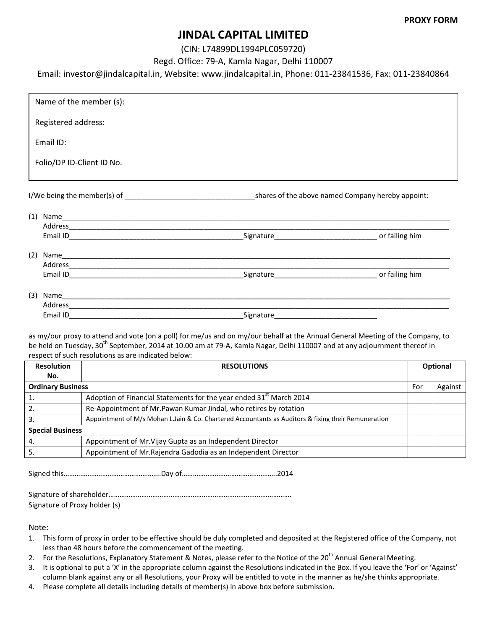(CIN: L74899DL1994PLC059720)

Regd. Office: 79‐A, Kamla Nagar, Delhi 110007

Email: investor@jindalcapital.in, Website: www.jindalcapital.in, Phone: 011‐23841536, Fax: 011‐23840864

| _Signature________________________________ |  |
|--------------------------------------------|--|
|                                            |  |

as my/our proxy to attend and vote (on a poll) for me/us and on my/our behalf at the Annual General Meeting of the Company, to be held on Tuesday, 30<sup>th</sup> September, 2014 at 10.00 am at 79-A, Kamla Nagar, Delhi 110007 and at any adjournment thereof in respect of such resolutions as are indicated below:

| <b>Resolution</b>        | <b>RESOLUTIONS</b>                                                                                  |     | Optional |
|--------------------------|-----------------------------------------------------------------------------------------------------|-----|----------|
| No.                      |                                                                                                     |     |          |
| <b>Ordinary Business</b> |                                                                                                     | For | Against  |
|                          | Adoption of Financial Statements for the year ended 31 <sup>st</sup> March 2014                     |     |          |
|                          | Re-Appointment of Mr. Pawan Kumar Jindal, who retires by rotation                                   |     |          |
| 3.                       | Appointment of M/s Mohan L.Jain & Co. Chartered Accountants as Auditors & fixing their Remuneration |     |          |
| <b>Special Business</b>  |                                                                                                     |     |          |
| 4.                       | Appointment of Mr. Vijay Gupta as an Independent Director                                           |     |          |
|                          | Appointment of Mr. Rajendra Gadodia as an Independent Director                                      |     |          |

Signed this……………………………………………..Day of…………………………………………….2014

Signature of shareholder……………………………………………………………………………………….

Signature of Proxy holder (s)

Note:

- 1. This form of proxy in order to be effective should be duly completed and deposited at the Registered office of the Company, not less than 48 hours before the commencement of the meeting.
- 2. For the Resolutions, Explanatory Statement & Notes, please refer to the Notice of the 20<sup>th</sup> Annual General Meeting.
- 3. It is optional to put a 'X' in the appropriate column against the Resolutions indicated in the Box. If you leave the 'For' or 'Against' column blank against any or all Resolutions, your Proxy will be entitled to vote in the manner as he/she thinks appropriate.
- 4. Please complete all details including details of member(s) in above box before submission.